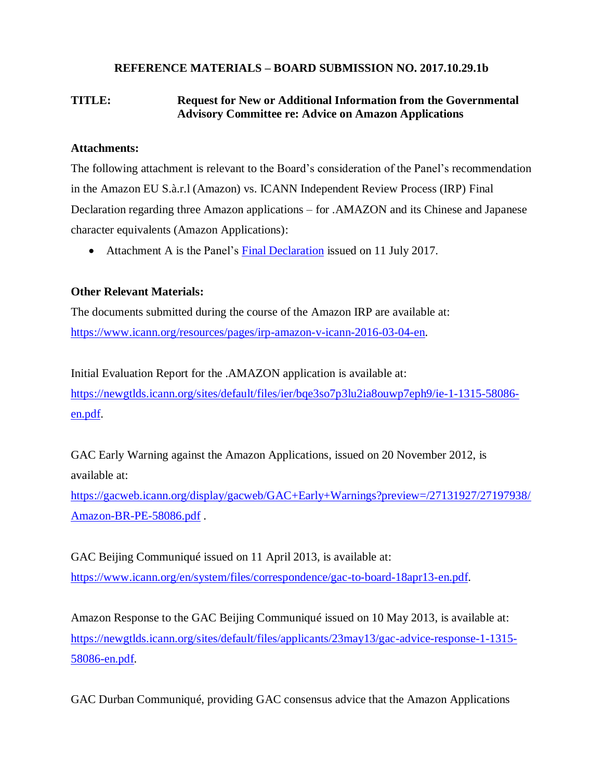## **REFERENCE MATERIALS – BOARD SUBMISSION NO. 2017.10.29.1b**

## **TITLE: Request for New or Additional Information from the Governmental Advisory Committee re: Advice on Amazon Applications**

## **Attachments:**

The following attachment is relevant to the Board's consideration of the Panel's recommendation in the Amazon EU S.à.r.l (Amazon) vs. ICANN Independent Review Process (IRP) Final Declaration regarding three Amazon applications – for .AMAZON and its Chinese and Japanese character equivalents (Amazon Applications):

• Attachment A is the Panel's [Final Declaration](https://www.icann.org/en/system/files/files/irp-amazon-final-declaration-11jul17-en.pdf) issued on 11 July 2017.

## **Other Relevant Materials:**

The documents submitted during the course of the Amazon IRP are available at: [https://www.icann.org/resources/pages/irp-amazon-v-icann-2016-03-04-en.](https://www.icann.org/resources/pages/irp-amazon-v-icann-2016-03-04-en)

Initial Evaluation Report for the .AMAZON application is available at: [https://newgtlds.icann.org/sites/default/files/ier/bqe3so7p3lu2ia8ouwp7eph9/ie-1-1315-58086](https://newgtlds.icann.org/sites/default/files/ier/bqe3so7p3lu2ia8ouwp7eph9/ie-1-1315-58086-en.pdf) [en.pdf.](https://newgtlds.icann.org/sites/default/files/ier/bqe3so7p3lu2ia8ouwp7eph9/ie-1-1315-58086-en.pdf)

GAC Early Warning against the Amazon Applications, issued on 20 November 2012, is available at:

[https://gacweb.icann.org/display/gacweb/GAC+Early+Warnings?preview=/27131927/27197938/](https://gacweb.icann.org/display/gacweb/GAC+Early+Warnings?preview=/27131927/27197938/Amazon-BR-PE-58086.pdf) [Amazon-BR-PE-58086.pdf](https://gacweb.icann.org/display/gacweb/GAC+Early+Warnings?preview=/27131927/27197938/Amazon-BR-PE-58086.pdf) .

GAC Beijing Communiqué issued on 11 April 2013, is available at: [https://www.icann.org/en/system/files/correspondence/gac-to-board-18apr13-en.pdf.](https://www.icann.org/en/system/files/correspondence/gac-to-board-18apr13-en.pdf)

Amazon Response to the GAC Beijing Communiqué issued on 10 May 2013, is available at: [https://newgtlds.icann.org/sites/default/files/applicants/23may13/gac-advice-response-1-1315-](https://newgtlds.icann.org/sites/default/files/applicants/23may13/gac-advice-response-1-1315-58086-en.pdf) [58086-en.pdf.](https://newgtlds.icann.org/sites/default/files/applicants/23may13/gac-advice-response-1-1315-58086-en.pdf)

GAC Durban Communiqué, providing GAC consensus advice that the Amazon Applications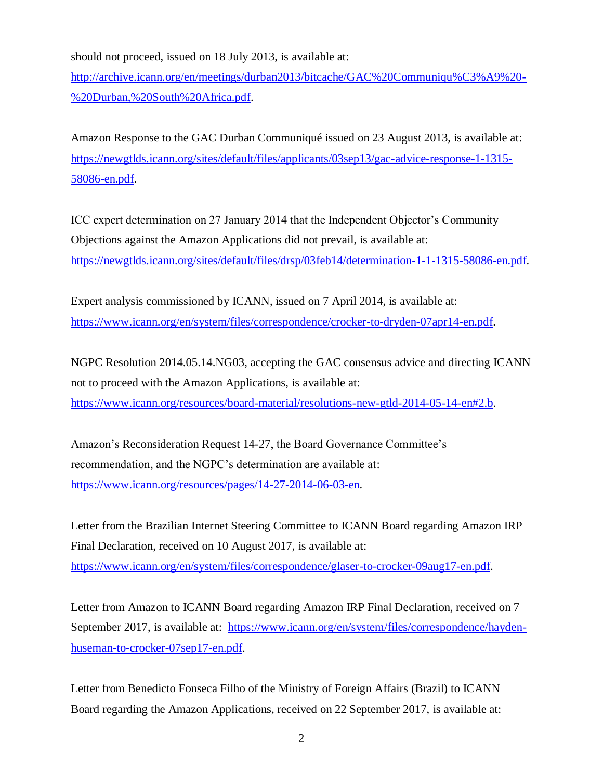should not proceed, issued on 18 July 2013, is available at:

[http://archive.icann.org/en/meetings/durban2013/bitcache/GAC%20Communiqu%C3%A9%20-](http://archive.icann.org/en/meetings/durban2013/bitcache/GAC%20Communiqu%C3%A9%20-%20Durban,%20South%20Africa.pdf) [%20Durban,%20South%20Africa.pdf.](http://archive.icann.org/en/meetings/durban2013/bitcache/GAC%20Communiqu%C3%A9%20-%20Durban,%20South%20Africa.pdf)

Amazon Response to the GAC Durban Communiqué issued on 23 August 2013, is available at: [https://newgtlds.icann.org/sites/default/files/applicants/03sep13/gac-advice-response-1-1315-](https://newgtlds.icann.org/sites/default/files/applicants/03sep13/gac-advice-response-1-1315-58086-en.pdf) [58086-en.pdf.](https://newgtlds.icann.org/sites/default/files/applicants/03sep13/gac-advice-response-1-1315-58086-en.pdf)

ICC expert determination on 27 January 2014 that the Independent Objector's Community Objections against the Amazon Applications did not prevail, is available at: [https://newgtlds.icann.org/sites/default/files/drsp/03feb14/determination-1-1-1315-58086-en.pdf.](https://newgtlds.icann.org/sites/default/files/drsp/03feb14/determination-1-1-1315-58086-en.pdf)

Expert analysis commissioned by ICANN, issued on 7 April 2014, is available at: [https://www.icann.org/en/system/files/correspondence/crocker-to-dryden-07apr14-en.pdf.](https://www.icann.org/en/system/files/correspondence/crocker-to-dryden-07apr14-en.pdf)

NGPC Resolution 2014.05.14.NG03, accepting the GAC consensus advice and directing ICANN not to proceed with the Amazon Applications, is available at: [https://www.icann.org/resources/board-material/resolutions-new-gtld-2014-05-14-en#2.b.](https://www.icann.org/resources/board-material/resolutions-new-gtld-2014-05-14-en#2.b)

Amazon's Reconsideration Request 14-27, the Board Governance Committee's recommendation, and the NGPC's determination are available at: [https://www.icann.org/resources/pages/14-27-2014-06-03-en.](https://www.icann.org/resources/pages/14-27-2014-06-03-en)

Letter from the Brazilian Internet Steering Committee to ICANN Board regarding Amazon IRP Final Declaration, received on 10 August 2017, is available at: [https://www.icann.org/en/system/files/correspondence/glaser-to-crocker-09aug17-en.pdf.](https://www.icann.org/en/system/files/correspondence/glaser-to-crocker-09aug17-en.pdf)

Letter from Amazon to ICANN Board regarding Amazon IRP Final Declaration, received on 7 September 2017, is available at: [https://www.icann.org/en/system/files/correspondence/hayden](https://www.icann.org/en/system/files/correspondence/hayden-huseman-to-crocker-07sep17-en.pdf)[huseman-to-crocker-07sep17-en.pdf.](https://www.icann.org/en/system/files/correspondence/hayden-huseman-to-crocker-07sep17-en.pdf)

Letter from Benedicto Fonseca Filho of the Ministry of Foreign Affairs (Brazil) to ICANN Board regarding the Amazon Applications, received on 22 September 2017, is available at: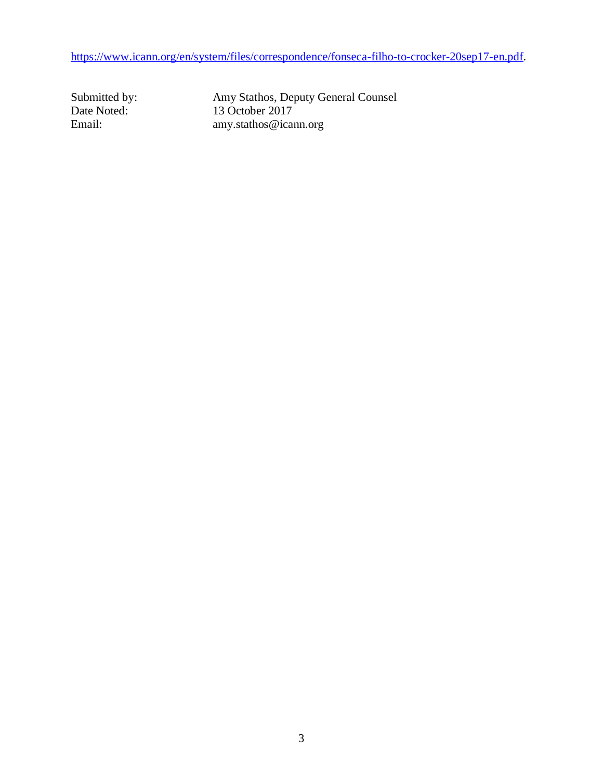[https://www.icann.org/en/system/files/correspondence/fonseca-filho-to-crocker-20sep17-en.pdf.](https://www.icann.org/en/system/files/correspondence/fonseca-filho-to-crocker-20sep17-en.pdf)

Submitted by: Amy Stathos, Deputy General Counsel Date Noted: 13 October 2017 Email: amy.stathos@icann.org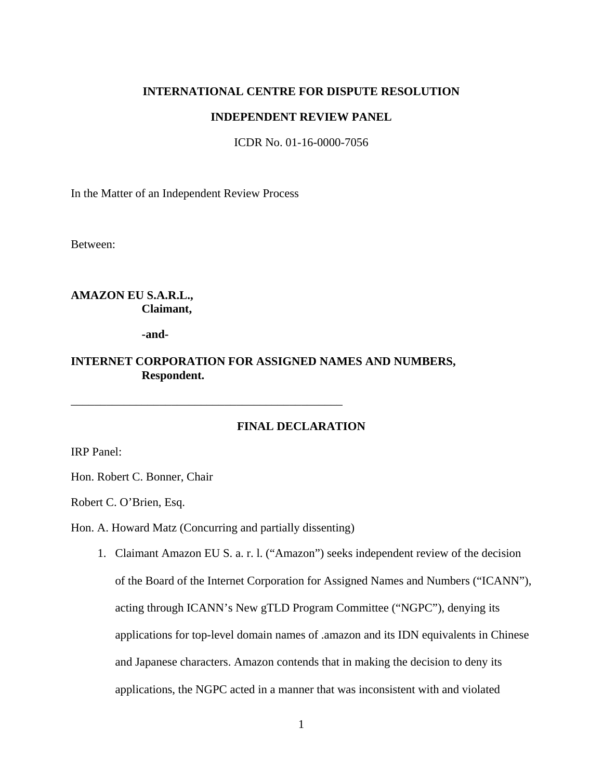#### **INTERNATIONAL CENTRE FOR DISPUTE RESOLUTION**

#### **INDEPENDENT REVIEW PANEL**

ICDR No. 01-16-0000-7056

In the Matter of an Independent Review Process

Between:

## **AMAZON EU S.A.R.L., Claimant,**

**-and-**

## **INTERNET CORPORATION FOR ASSIGNED NAMES AND NUMBERS, Respondent.**

## **FINAL DECLARATION**

IRP Panel:

Hon. Robert C. Bonner, Chair

Robert C. O'Brien, Esq.

Hon. A. Howard Matz (Concurring and partially dissenting)

\_\_\_\_\_\_\_\_\_\_\_\_\_\_\_\_\_\_\_\_\_\_\_\_\_\_\_\_\_\_\_\_\_\_\_\_\_\_\_\_\_\_\_\_\_\_

1. Claimant Amazon EU S. a. r. l. ("Amazon") seeks independent review of the decision of the Board of the Internet Corporation for Assigned Names and Numbers ("ICANN"), acting through ICANN's New gTLD Program Committee ("NGPC"), denying its applications for top-level domain names of .amazon and its IDN equivalents in Chinese and Japanese characters. Amazon contends that in making the decision to deny its applications, the NGPC acted in a manner that was inconsistent with and violated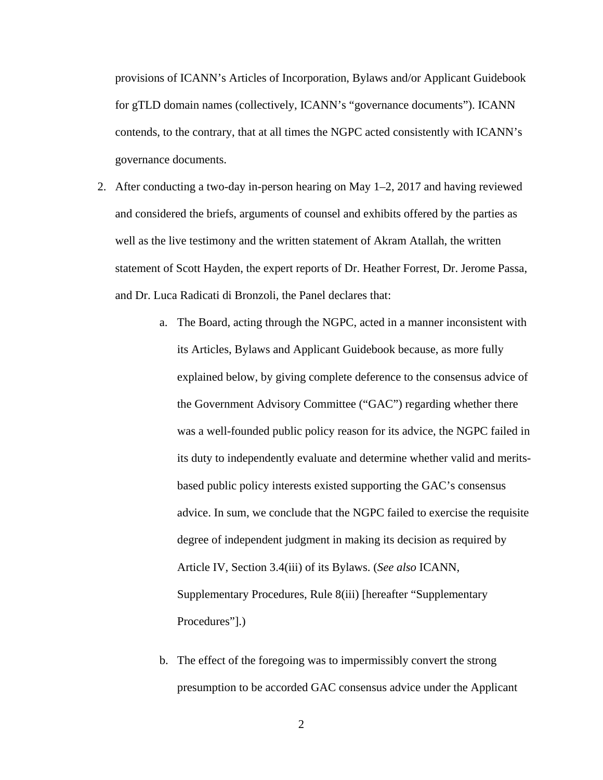provisions of ICANN's Articles of Incorporation, Bylaws and/or Applicant Guidebook for gTLD domain names (collectively, ICANN's "governance documents"). ICANN contends, to the contrary, that at all times the NGPC acted consistently with ICANN's governance documents.

- 2. After conducting a two-day in-person hearing on May 1–2, 2017 and having reviewed and considered the briefs, arguments of counsel and exhibits offered by the parties as well as the live testimony and the written statement of Akram Atallah, the written statement of Scott Hayden, the expert reports of Dr. Heather Forrest, Dr. Jerome Passa, and Dr. Luca Radicati di Bronzoli, the Panel declares that:
	- a. The Board, acting through the NGPC, acted in a manner inconsistent with its Articles, Bylaws and Applicant Guidebook because, as more fully explained below, by giving complete deference to the consensus advice of the Government Advisory Committee ("GAC") regarding whether there was a well-founded public policy reason for its advice, the NGPC failed in its duty to independently evaluate and determine whether valid and meritsbased public policy interests existed supporting the GAC's consensus advice. In sum, we conclude that the NGPC failed to exercise the requisite degree of independent judgment in making its decision as required by Article IV, Section 3.4(iii) of its Bylaws. (*See also* ICANN, Supplementary Procedures, Rule 8(iii) [hereafter "Supplementary Procedures"].)
	- b. The effect of the foregoing was to impermissibly convert the strong presumption to be accorded GAC consensus advice under the Applicant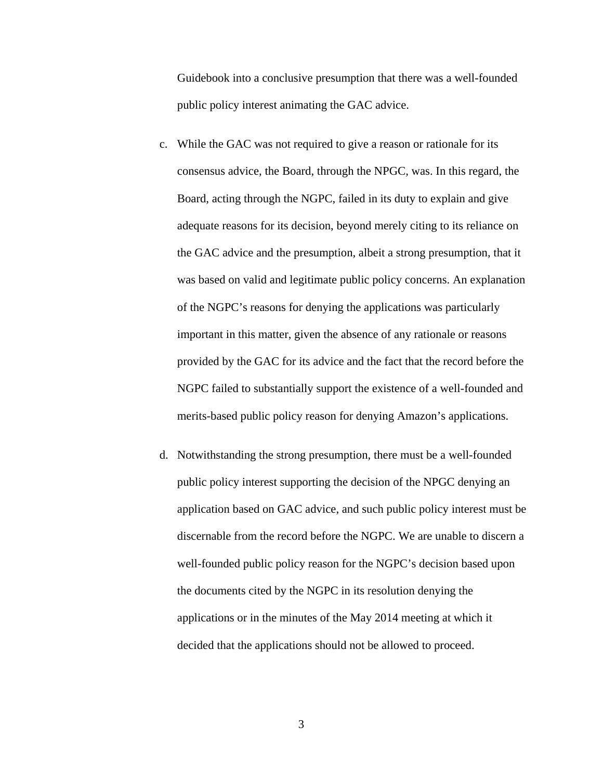Guidebook into a conclusive presumption that there was a well-founded public policy interest animating the GAC advice.

- c. While the GAC was not required to give a reason or rationale for its consensus advice, the Board, through the NPGC, was. In this regard, the Board, acting through the NGPC, failed in its duty to explain and give adequate reasons for its decision, beyond merely citing to its reliance on the GAC advice and the presumption, albeit a strong presumption, that it was based on valid and legitimate public policy concerns. An explanation of the NGPC's reasons for denying the applications was particularly important in this matter, given the absence of any rationale or reasons provided by the GAC for its advice and the fact that the record before the NGPC failed to substantially support the existence of a well-founded and merits-based public policy reason for denying Amazon's applications.
- d. Notwithstanding the strong presumption, there must be a well-founded public policy interest supporting the decision of the NPGC denying an application based on GAC advice, and such public policy interest must be discernable from the record before the NGPC. We are unable to discern a well-founded public policy reason for the NGPC's decision based upon the documents cited by the NGPC in its resolution denying the applications or in the minutes of the May 2014 meeting at which it decided that the applications should not be allowed to proceed.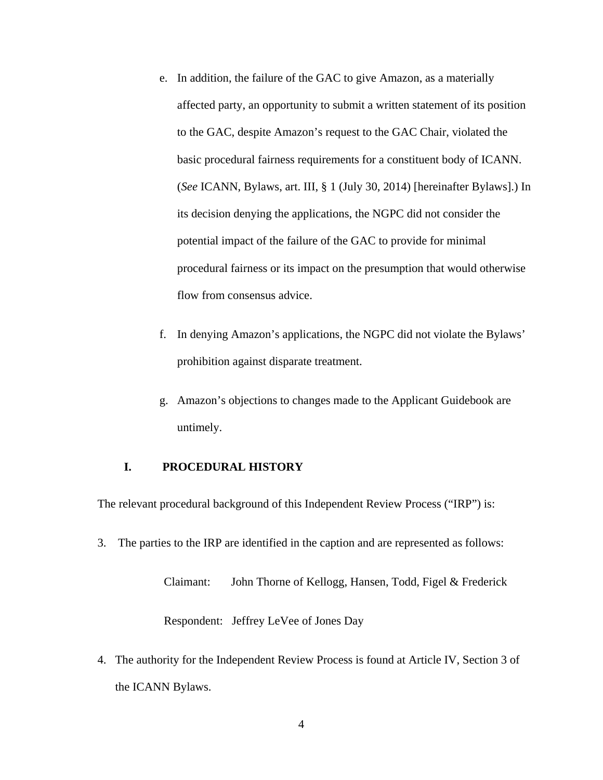- e. In addition, the failure of the GAC to give Amazon, as a materially affected party, an opportunity to submit a written statement of its position to the GAC, despite Amazon's request to the GAC Chair, violated the basic procedural fairness requirements for a constituent body of ICANN. (*See* ICANN, Bylaws, art. III, § 1 (July 30, 2014) [hereinafter Bylaws].) In its decision denying the applications, the NGPC did not consider the potential impact of the failure of the GAC to provide for minimal procedural fairness or its impact on the presumption that would otherwise flow from consensus advice.
- f. In denying Amazon's applications, the NGPC did not violate the Bylaws' prohibition against disparate treatment.
- g. Amazon's objections to changes made to the Applicant Guidebook are untimely.

#### **I. PROCEDURAL HISTORY**

The relevant procedural background of this Independent Review Process ("IRP") is:

3. The parties to the IRP are identified in the caption and are represented as follows:

Claimant: John Thorne of Kellogg, Hansen, Todd, Figel & Frederick Respondent: Jeffrey LeVee of Jones Day

4. The authority for the Independent Review Process is found at Article IV, Section 3 of the ICANN Bylaws.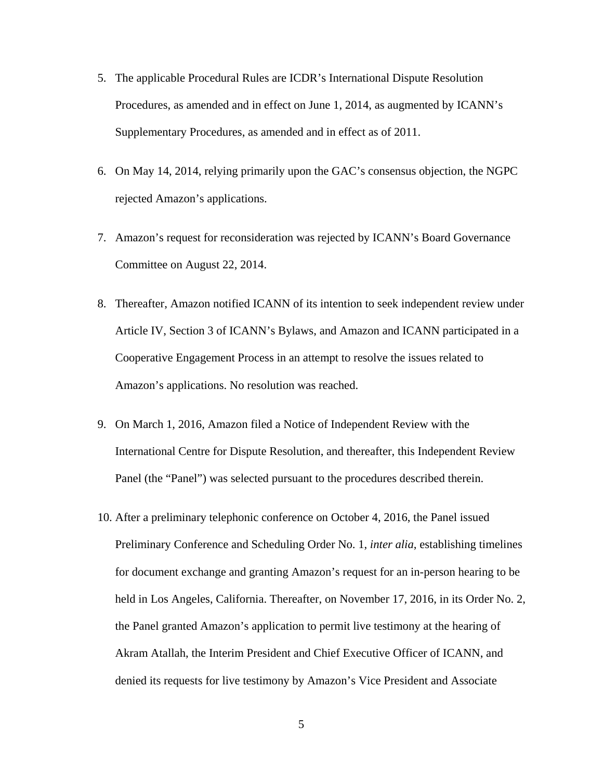- 5. The applicable Procedural Rules are ICDR's International Dispute Resolution Procedures, as amended and in effect on June 1, 2014, as augmented by ICANN's Supplementary Procedures, as amended and in effect as of 2011.
- 6. On May 14, 2014, relying primarily upon the GAC's consensus objection, the NGPC rejected Amazon's applications.
- 7. Amazon's request for reconsideration was rejected by ICANN's Board Governance Committee on August 22, 2014.
- 8. Thereafter, Amazon notified ICANN of its intention to seek independent review under Article IV, Section 3 of ICANN's Bylaws, and Amazon and ICANN participated in a Cooperative Engagement Process in an attempt to resolve the issues related to Amazon's applications. No resolution was reached.
- 9. On March 1, 2016, Amazon filed a Notice of Independent Review with the International Centre for Dispute Resolution, and thereafter, this Independent Review Panel (the "Panel") was selected pursuant to the procedures described therein.
- 10. After a preliminary telephonic conference on October 4, 2016, the Panel issued Preliminary Conference and Scheduling Order No. 1, *inter alia*, establishing timelines for document exchange and granting Amazon's request for an in-person hearing to be held in Los Angeles, California. Thereafter, on November 17, 2016, in its Order No. 2, the Panel granted Amazon's application to permit live testimony at the hearing of Akram Atallah, the Interim President and Chief Executive Officer of ICANN, and denied its requests for live testimony by Amazon's Vice President and Associate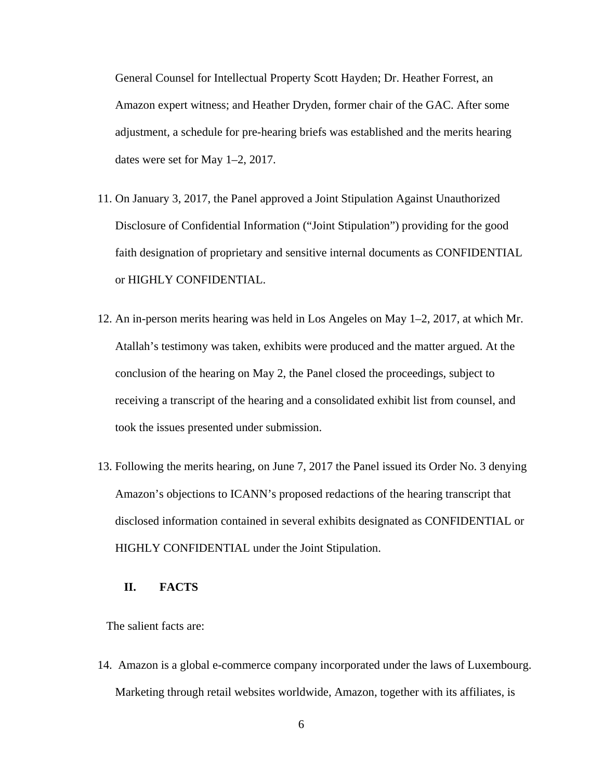General Counsel for Intellectual Property Scott Hayden; Dr. Heather Forrest, an Amazon expert witness; and Heather Dryden, former chair of the GAC. After some adjustment, a schedule for pre-hearing briefs was established and the merits hearing dates were set for May 1–2, 2017.

- 11. On January 3, 2017, the Panel approved a Joint Stipulation Against Unauthorized Disclosure of Confidential Information ("Joint Stipulation") providing for the good faith designation of proprietary and sensitive internal documents as CONFIDENTIAL or HIGHLY CONFIDENTIAL.
- 12. An in-person merits hearing was held in Los Angeles on May 1–2, 2017, at which Mr. Atallah's testimony was taken, exhibits were produced and the matter argued. At the conclusion of the hearing on May 2, the Panel closed the proceedings, subject to receiving a transcript of the hearing and a consolidated exhibit list from counsel, and took the issues presented under submission.
- 13. Following the merits hearing, on June 7, 2017 the Panel issued its Order No. 3 denying Amazon's objections to ICANN's proposed redactions of the hearing transcript that disclosed information contained in several exhibits designated as CONFIDENTIAL or HIGHLY CONFIDENTIAL under the Joint Stipulation.

## **II. FACTS**

The salient facts are:

14. Amazon is a global e-commerce company incorporated under the laws of Luxembourg. Marketing through retail websites worldwide, Amazon, together with its affiliates, is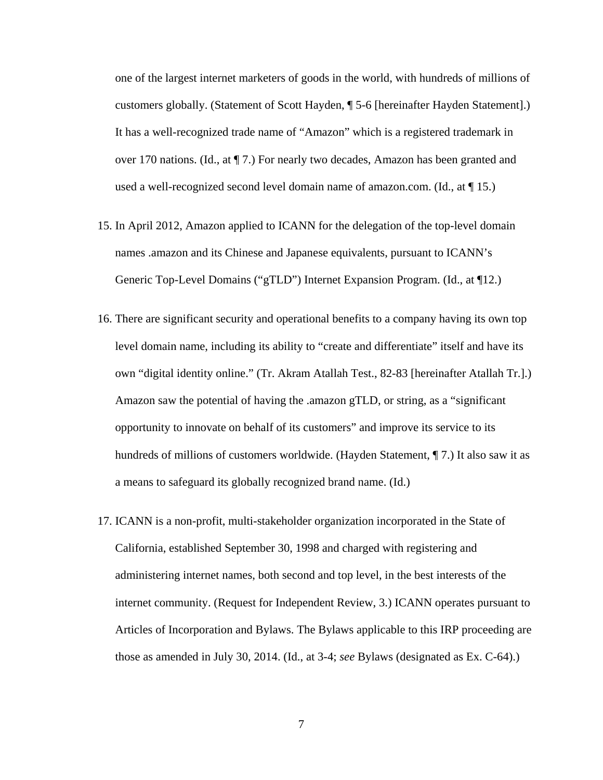one of the largest internet marketers of goods in the world, with hundreds of millions of customers globally. (Statement of Scott Hayden, ¶ 5-6 [hereinafter Hayden Statement].) It has a well-recognized trade name of "Amazon" which is a registered trademark in over 170 nations. (Id., at ¶ 7.) For nearly two decades, Amazon has been granted and used a well-recognized second level domain name of amazon.com. (Id., at ¶ 15.)

- 15. In April 2012, Amazon applied to ICANN for the delegation of the top-level domain names .amazon and its Chinese and Japanese equivalents, pursuant to ICANN's Generic Top-Level Domains ("gTLD") Internet Expansion Program. (Id., at ¶12.)
- 16. There are significant security and operational benefits to a company having its own top level domain name, including its ability to "create and differentiate" itself and have its own "digital identity online." (Tr. Akram Atallah Test., 82-83 [hereinafter Atallah Tr.].) Amazon saw the potential of having the .amazon gTLD, or string, as a "significant opportunity to innovate on behalf of its customers" and improve its service to its hundreds of millions of customers worldwide. (Hayden Statement, ¶ 7.) It also saw it as a means to safeguard its globally recognized brand name. (Id.)
- 17. ICANN is a non-profit, multi-stakeholder organization incorporated in the State of California, established September 30, 1998 and charged with registering and administering internet names, both second and top level, in the best interests of the internet community. (Request for Independent Review, 3.) ICANN operates pursuant to Articles of Incorporation and Bylaws. The Bylaws applicable to this IRP proceeding are those as amended in July 30, 2014. (Id., at 3-4; *see* Bylaws (designated as Ex. C-64).)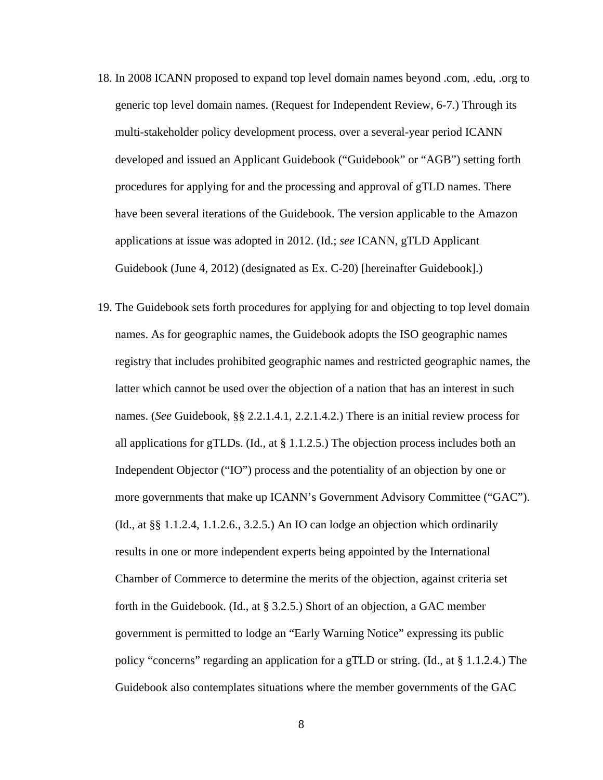- 18. In 2008 ICANN proposed to expand top level domain names beyond .com, .edu, .org to generic top level domain names. (Request for Independent Review, 6-7.) Through its multi-stakeholder policy development process, over a several-year period ICANN developed and issued an Applicant Guidebook ("Guidebook" or "AGB") setting forth procedures for applying for and the processing and approval of gTLD names. There have been several iterations of the Guidebook. The version applicable to the Amazon applications at issue was adopted in 2012. (Id.; *see* ICANN, gTLD Applicant Guidebook (June 4, 2012) (designated as Ex. C-20) [hereinafter Guidebook].)
- 19. The Guidebook sets forth procedures for applying for and objecting to top level domain names. As for geographic names, the Guidebook adopts the ISO geographic names registry that includes prohibited geographic names and restricted geographic names, the latter which cannot be used over the objection of a nation that has an interest in such names. (*See* Guidebook, §§ 2.2.1.4.1, 2.2.1.4.2.) There is an initial review process for all applications for gTLDs. (Id., at § 1.1.2.5.) The objection process includes both an Independent Objector ("IO") process and the potentiality of an objection by one or more governments that make up ICANN's Government Advisory Committee ("GAC"). (Id., at §§ 1.1.2.4, 1.1.2.6., 3.2.5.) An IO can lodge an objection which ordinarily results in one or more independent experts being appointed by the International Chamber of Commerce to determine the merits of the objection, against criteria set forth in the Guidebook. (Id., at § 3.2.5.) Short of an objection, a GAC member government is permitted to lodge an "Early Warning Notice" expressing its public policy "concerns" regarding an application for a gTLD or string. (Id., at § 1.1.2.4.) The Guidebook also contemplates situations where the member governments of the GAC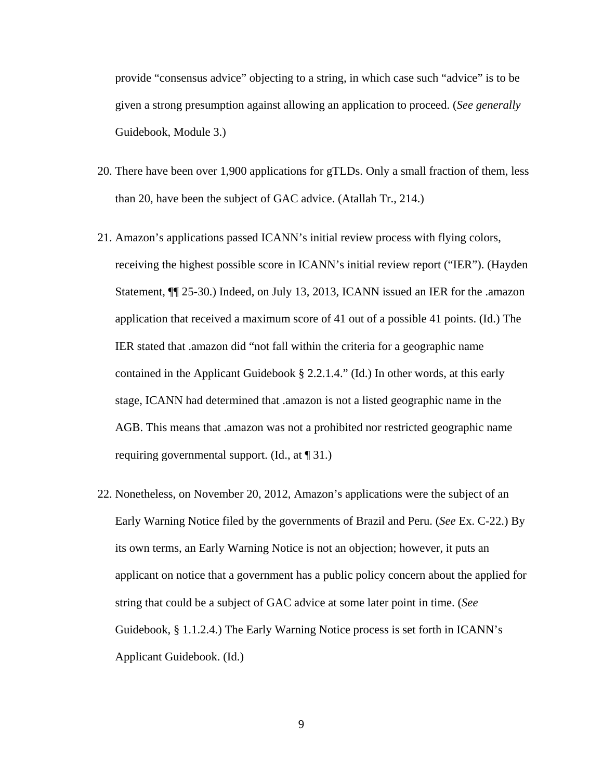provide "consensus advice" objecting to a string, in which case such "advice" is to be given a strong presumption against allowing an application to proceed. (*See generally*  Guidebook, Module 3.)

- 20. There have been over 1,900 applications for gTLDs. Only a small fraction of them, less than 20, have been the subject of GAC advice. (Atallah Tr., 214.)
- 21. Amazon's applications passed ICANN's initial review process with flying colors, receiving the highest possible score in ICANN's initial review report ("IER"). (Hayden Statement, ¶¶ 25-30.) Indeed, on July 13, 2013, ICANN issued an IER for the .amazon application that received a maximum score of 41 out of a possible 41 points. (Id.) The IER stated that .amazon did "not fall within the criteria for a geographic name contained in the Applicant Guidebook § 2.2.1.4." (Id.) In other words, at this early stage, ICANN had determined that .amazon is not a listed geographic name in the AGB. This means that .amazon was not a prohibited nor restricted geographic name requiring governmental support. (Id., at ¶ 31.)
- 22. Nonetheless, on November 20, 2012, Amazon's applications were the subject of an Early Warning Notice filed by the governments of Brazil and Peru. (*See* Ex. C-22.) By its own terms, an Early Warning Notice is not an objection; however, it puts an applicant on notice that a government has a public policy concern about the applied for string that could be a subject of GAC advice at some later point in time. (*See*  Guidebook, § 1.1.2.4.) The Early Warning Notice process is set forth in ICANN's Applicant Guidebook. (Id.)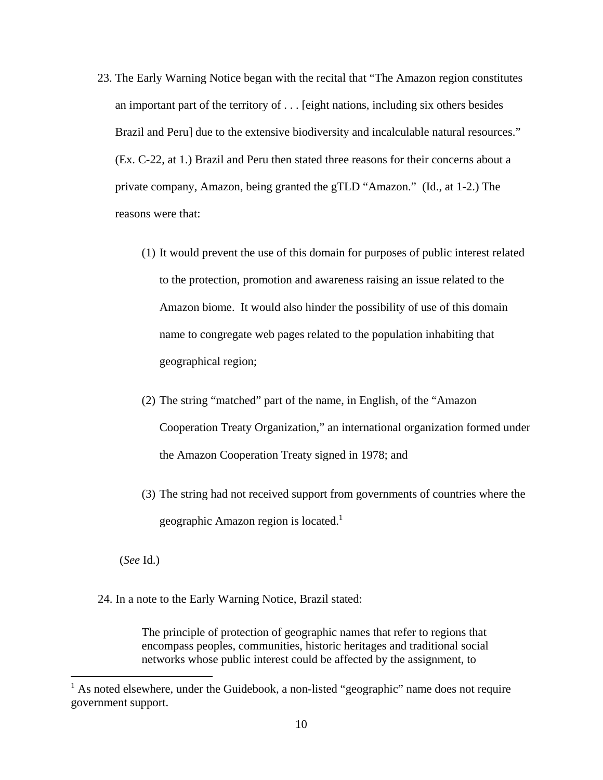- 23. The Early Warning Notice began with the recital that "The Amazon region constitutes an important part of the territory of . . . [eight nations, including six others besides Brazil and Peru] due to the extensive biodiversity and incalculable natural resources." (Ex. C-22, at 1.) Brazil and Peru then stated three reasons for their concerns about a private company, Amazon, being granted the gTLD "Amazon." (Id., at 1-2.) The reasons were that:
	- (1) It would prevent the use of this domain for purposes of public interest related to the protection, promotion and awareness raising an issue related to the Amazon biome. It would also hinder the possibility of use of this domain name to congregate web pages related to the population inhabiting that geographical region;
	- (2) The string "matched" part of the name, in English, of the "Amazon Cooperation Treaty Organization," an international organization formed under the Amazon Cooperation Treaty signed in 1978; and
	- (3) The string had not received support from governments of countries where the geographic Amazon region is located. $<sup>1</sup>$ </sup>

(*See* Id.)

24. In a note to the Early Warning Notice, Brazil stated:

The principle of protection of geographic names that refer to regions that encompass peoples, communities, historic heritages and traditional social networks whose public interest could be affected by the assignment, to

<sup>&</sup>lt;sup>1</sup> As noted elsewhere, under the Guidebook, a non-listed "geographic" name does not require government support.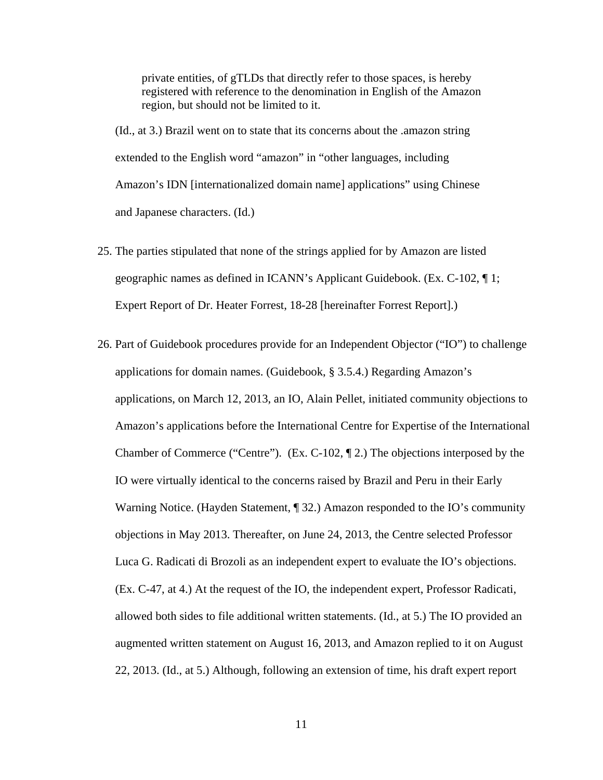private entities, of gTLDs that directly refer to those spaces, is hereby registered with reference to the denomination in English of the Amazon region, but should not be limited to it.

(Id., at 3.) Brazil went on to state that its concerns about the .amazon string extended to the English word "amazon" in "other languages, including Amazon's IDN [internationalized domain name] applications" using Chinese and Japanese characters. (Id.)

- 25. The parties stipulated that none of the strings applied for by Amazon are listed geographic names as defined in ICANN's Applicant Guidebook. (Ex. C-102, ¶ 1; Expert Report of Dr. Heater Forrest, 18-28 [hereinafter Forrest Report].)
- 26. Part of Guidebook procedures provide for an Independent Objector ("IO") to challenge applications for domain names. (Guidebook, § 3.5.4.) Regarding Amazon's applications, on March 12, 2013, an IO, Alain Pellet, initiated community objections to Amazon's applications before the International Centre for Expertise of the International Chamber of Commerce ("Centre"). (Ex. C-102, ¶ 2.) The objections interposed by the IO were virtually identical to the concerns raised by Brazil and Peru in their Early Warning Notice. (Hayden Statement, ¶ 32.) Amazon responded to the IO's community objections in May 2013. Thereafter, on June 24, 2013, the Centre selected Professor Luca G. Radicati di Brozoli as an independent expert to evaluate the IO's objections. (Ex. C-47, at 4.) At the request of the IO, the independent expert, Professor Radicati, allowed both sides to file additional written statements. (Id., at 5.) The IO provided an augmented written statement on August 16, 2013, and Amazon replied to it on August 22, 2013. (Id., at 5.) Although, following an extension of time, his draft expert report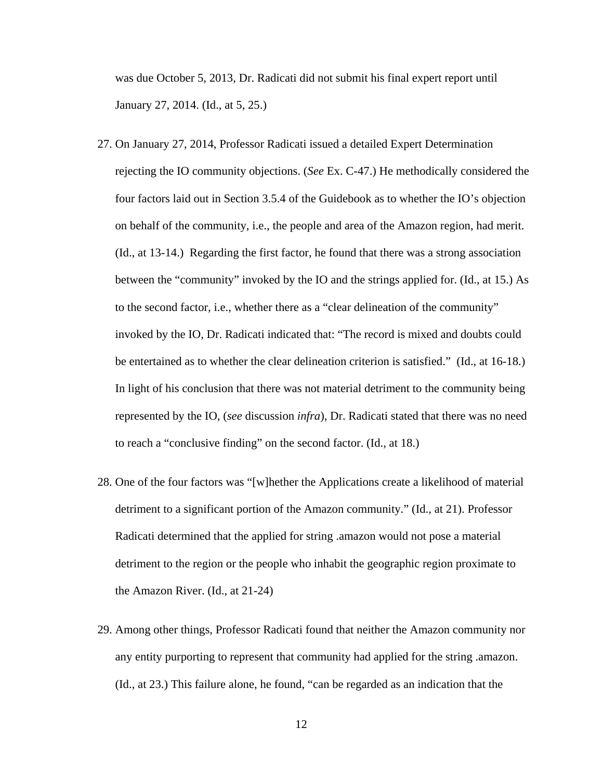was due October 5, 2013, Dr. Radicati did not submit his final expert report until January 27, 2014. (Id., at 5, 25.)

- 27. On January 27, 2014, Professor Radicati issued a detailed Expert Determination rejecting the IO community objections. (*See* Ex. C-47.) He methodically considered the four factors laid out in Section 3.5.4 of the Guidebook as to whether the IO's objection on behalf of the community, i.e., the people and area of the Amazon region, had merit. (Id., at 13-14.) Regarding the first factor, he found that there was a strong association between the "community" invoked by the IO and the strings applied for. (Id., at 15.) As to the second factor, i.e., whether there as a "clear delineation of the community" invoked by the IO, Dr. Radicati indicated that: "The record is mixed and doubts could be entertained as to whether the clear delineation criterion is satisfied." (Id., at 16-18.) In light of his conclusion that there was not material detriment to the community being represented by the IO, (*see* discussion *infra*), Dr. Radicati stated that there was no need to reach a "conclusive finding" on the second factor. (Id., at 18.)
- 28. One of the four factors was "[w]hether the Applications create a likelihood of material detriment to a significant portion of the Amazon community." (Id., at 21). Professor Radicati determined that the applied for string .amazon would not pose a material detriment to the region or the people who inhabit the geographic region proximate to the Amazon River. (Id., at 21-24)
- 29. Among other things, Professor Radicati found that neither the Amazon community nor any entity purporting to represent that community had applied for the string .amazon. (Id., at 23.) This failure alone, he found, "can be regarded as an indication that the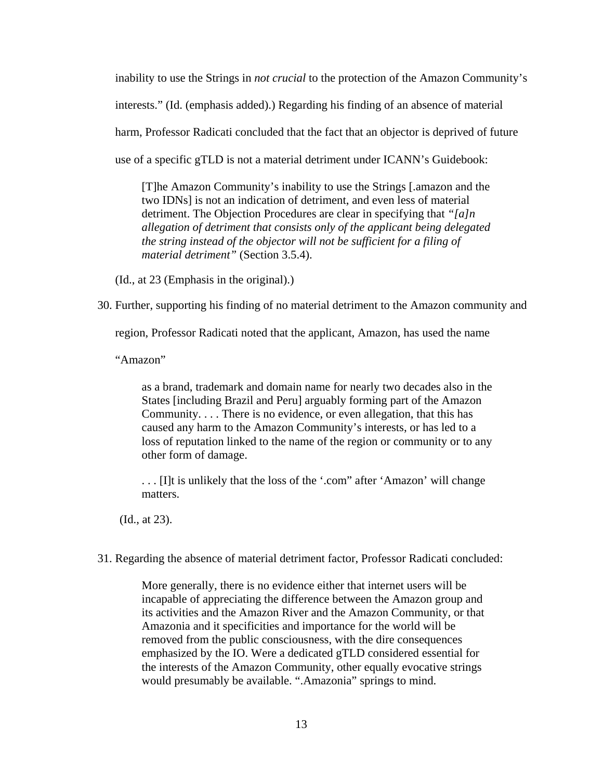inability to use the Strings in *not crucial* to the protection of the Amazon Community's interests." (Id. (emphasis added).) Regarding his finding of an absence of material harm, Professor Radicati concluded that the fact that an objector is deprived of future use of a specific gTLD is not a material detriment under ICANN's Guidebook:

[T]he Amazon Community's inability to use the Strings [.amazon and the two IDNs] is not an indication of detriment, and even less of material detriment. The Objection Procedures are clear in specifying that *"[a]n allegation of detriment that consists only of the applicant being delegated the string instead of the objector will not be sufficient for a filing of material detriment"* (Section 3.5.4).

(Id., at 23 (Emphasis in the original).)

30. Further, supporting his finding of no material detriment to the Amazon community and

region, Professor Radicati noted that the applicant, Amazon, has used the name

"Amazon"

as a brand, trademark and domain name for nearly two decades also in the States [including Brazil and Peru] arguably forming part of the Amazon Community. . . . There is no evidence, or even allegation, that this has caused any harm to the Amazon Community's interests, or has led to a loss of reputation linked to the name of the region or community or to any other form of damage.

. . . [I]t is unlikely that the loss of the '.com" after 'Amazon' will change matters.

(Id., at 23).

31. Regarding the absence of material detriment factor, Professor Radicati concluded:

More generally, there is no evidence either that internet users will be incapable of appreciating the difference between the Amazon group and its activities and the Amazon River and the Amazon Community, or that Amazonia and it specificities and importance for the world will be removed from the public consciousness, with the dire consequences emphasized by the IO. Were a dedicated gTLD considered essential for the interests of the Amazon Community, other equally evocative strings would presumably be available. ".Amazonia" springs to mind.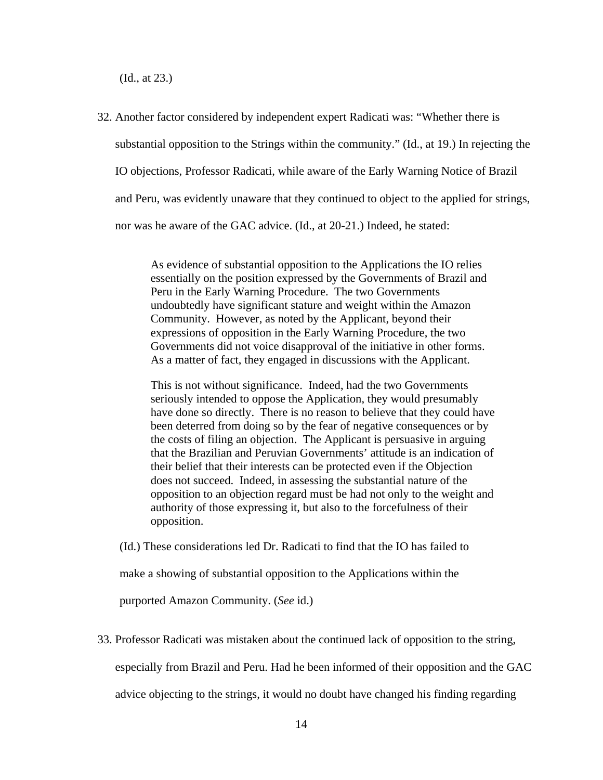(Id., at 23.)

32. Another factor considered by independent expert Radicati was: "Whether there is substantial opposition to the Strings within the community." (Id., at 19.) In rejecting the IO objections, Professor Radicati, while aware of the Early Warning Notice of Brazil and Peru, was evidently unaware that they continued to object to the applied for strings, nor was he aware of the GAC advice. (Id., at 20-21.) Indeed, he stated:

> As evidence of substantial opposition to the Applications the IO relies essentially on the position expressed by the Governments of Brazil and Peru in the Early Warning Procedure. The two Governments undoubtedly have significant stature and weight within the Amazon Community. However, as noted by the Applicant, beyond their expressions of opposition in the Early Warning Procedure, the two Governments did not voice disapproval of the initiative in other forms. As a matter of fact, they engaged in discussions with the Applicant.

This is not without significance. Indeed, had the two Governments seriously intended to oppose the Application, they would presumably have done so directly. There is no reason to believe that they could have been deterred from doing so by the fear of negative consequences or by the costs of filing an objection. The Applicant is persuasive in arguing that the Brazilian and Peruvian Governments' attitude is an indication of their belief that their interests can be protected even if the Objection does not succeed. Indeed, in assessing the substantial nature of the opposition to an objection regard must be had not only to the weight and authority of those expressing it, but also to the forcefulness of their opposition.

(Id.) These considerations led Dr. Radicati to find that the IO has failed to

make a showing of substantial opposition to the Applications within the

purported Amazon Community. (*See* id.)

33. Professor Radicati was mistaken about the continued lack of opposition to the string,

especially from Brazil and Peru. Had he been informed of their opposition and the GAC

advice objecting to the strings, it would no doubt have changed his finding regarding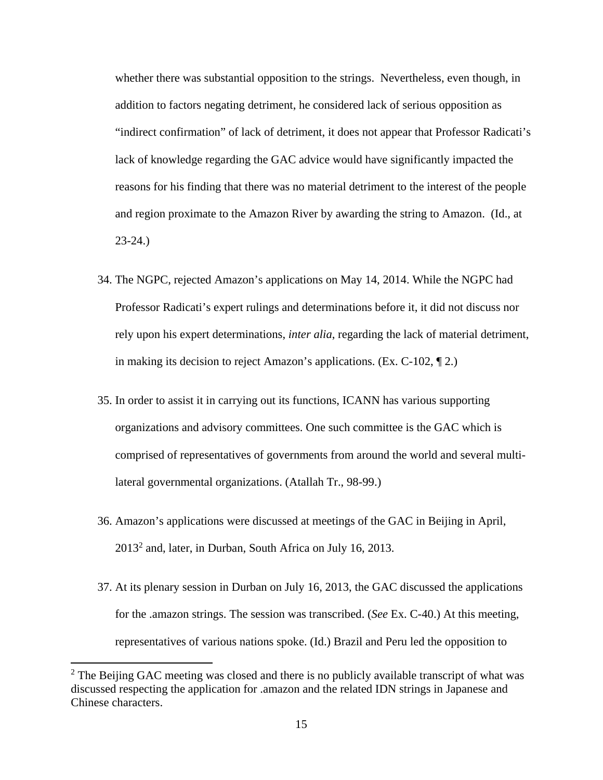whether there was substantial opposition to the strings. Nevertheless, even though, in addition to factors negating detriment, he considered lack of serious opposition as "indirect confirmation" of lack of detriment, it does not appear that Professor Radicati's lack of knowledge regarding the GAC advice would have significantly impacted the reasons for his finding that there was no material detriment to the interest of the people and region proximate to the Amazon River by awarding the string to Amazon. (Id., at 23-24.)

- 34. The NGPC, rejected Amazon's applications on May 14, 2014. While the NGPC had Professor Radicati's expert rulings and determinations before it, it did not discuss nor rely upon his expert determinations, *inter alia*, regarding the lack of material detriment, in making its decision to reject Amazon's applications. (Ex. C-102, ¶ 2.)
- 35. In order to assist it in carrying out its functions, ICANN has various supporting organizations and advisory committees. One such committee is the GAC which is comprised of representatives of governments from around the world and several multilateral governmental organizations. (Atallah Tr., 98-99.)
- 36. Amazon's applications were discussed at meetings of the GAC in Beijing in April,  $2013<sup>2</sup>$  and, later, in Durban, South Africa on July 16, 2013.
- 37. At its plenary session in Durban on July 16, 2013, the GAC discussed the applications for the .amazon strings. The session was transcribed. (*See* Ex. C-40.) At this meeting, representatives of various nations spoke. (Id.) Brazil and Peru led the opposition to

 $2$  The Beijing GAC meeting was closed and there is no publicly available transcript of what was discussed respecting the application for .amazon and the related IDN strings in Japanese and Chinese characters.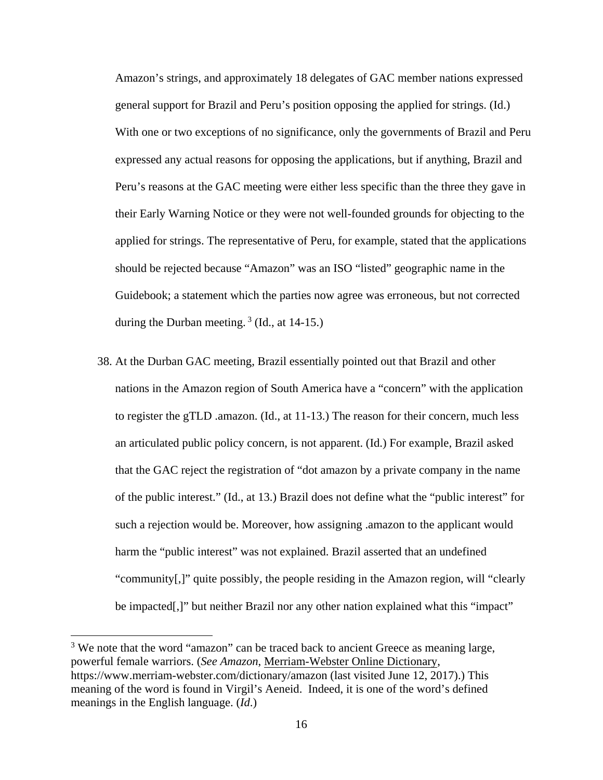Amazon's strings, and approximately 18 delegates of GAC member nations expressed general support for Brazil and Peru's position opposing the applied for strings. (Id.) With one or two exceptions of no significance, only the governments of Brazil and Peru expressed any actual reasons for opposing the applications, but if anything, Brazil and Peru's reasons at the GAC meeting were either less specific than the three they gave in their Early Warning Notice or they were not well-founded grounds for objecting to the applied for strings. The representative of Peru, for example, stated that the applications should be rejected because "Amazon" was an ISO "listed" geographic name in the Guidebook; a statement which the parties now agree was erroneous, but not corrected during the Durban meeting. 3 (Id., at 14-15.)

38. At the Durban GAC meeting, Brazil essentially pointed out that Brazil and other nations in the Amazon region of South America have a "concern" with the application to register the gTLD .amazon. (Id., at 11-13.) The reason for their concern, much less an articulated public policy concern, is not apparent. (Id.) For example, Brazil asked that the GAC reject the registration of "dot amazon by a private company in the name of the public interest." (Id., at 13.) Brazil does not define what the "public interest" for such a rejection would be. Moreover, how assigning .amazon to the applicant would harm the "public interest" was not explained. Brazil asserted that an undefined "community[,]" quite possibly, the people residing in the Amazon region, will "clearly be impacted[,]" but neither Brazil nor any other nation explained what this "impact"

 $3$  We note that the word "amazon" can be traced back to ancient Greece as meaning large, powerful female warriors. (*See Amazon*, Merriam-Webster Online Dictionary, https://www.merriam-webster.com/dictionary/amazon (last visited June 12, 2017).) This meaning of the word is found in Virgil's Aeneid. Indeed, it is one of the word's defined meanings in the English language. (*Id*.)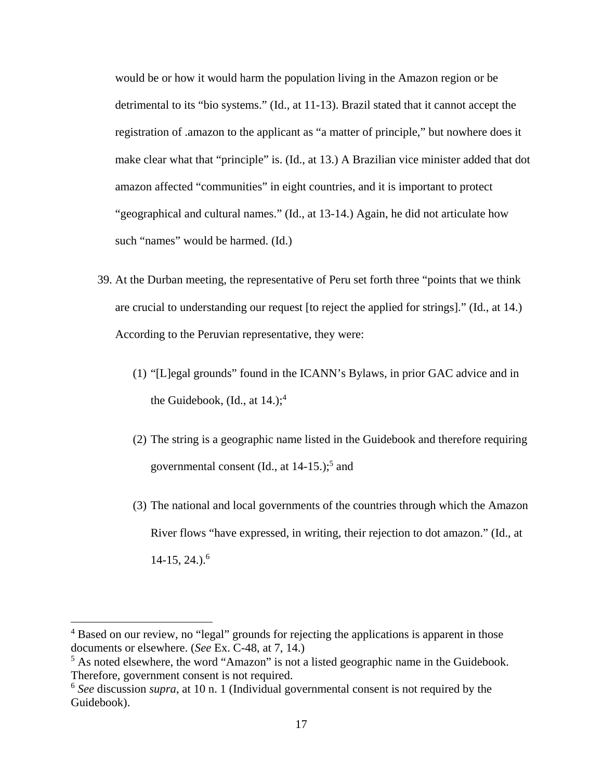would be or how it would harm the population living in the Amazon region or be detrimental to its "bio systems." (Id., at 11-13). Brazil stated that it cannot accept the registration of .amazon to the applicant as "a matter of principle," but nowhere does it make clear what that "principle" is. (Id., at 13.) A Brazilian vice minister added that dot amazon affected "communities" in eight countries, and it is important to protect "geographical and cultural names." (Id., at 13-14.) Again, he did not articulate how such "names" would be harmed. (Id.)

- 39. At the Durban meeting, the representative of Peru set forth three "points that we think are crucial to understanding our request [to reject the applied for strings]." (Id., at 14.) According to the Peruvian representative, they were:
	- (1) "[L]egal grounds" found in the ICANN's Bylaws, in prior GAC advice and in the Guidebook,  $(Id., at 14.);$ <sup>4</sup>
	- (2) The string is a geographic name listed in the Guidebook and therefore requiring governmental consent (Id., at  $14-15$ .);<sup>5</sup> and
	- (3) The national and local governments of the countries through which the Amazon River flows "have expressed, in writing, their rejection to dot amazon." (Id., at  $14-15, 24.$ <sup>6</sup>

<sup>&</sup>lt;sup>4</sup> Based on our review, no "legal" grounds for rejecting the applications is apparent in those documents or elsewhere. (*See* Ex. C-48, at 7, 14.)

<sup>&</sup>lt;sup>5</sup> As noted elsewhere, the word "Amazon" is not a listed geographic name in the Guidebook. Therefore, government consent is not required.

<sup>6</sup> *See* discussion *supra*, at 10 n. 1 (Individual governmental consent is not required by the Guidebook).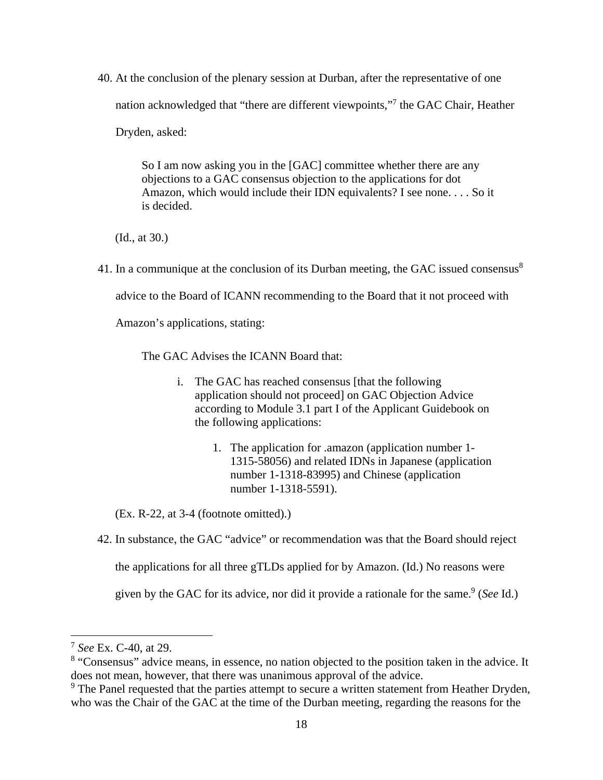40. At the conclusion of the plenary session at Durban, after the representative of one nation acknowledged that "there are different viewpoints,"7 the GAC Chair, Heather Dryden, asked:

> So I am now asking you in the [GAC] committee whether there are any objections to a GAC consensus objection to the applications for dot Amazon, which would include their IDN equivalents? I see none. . . . So it is decided.

(Id., at 30.)

41. In a communique at the conclusion of its Durban meeting, the GAC issued consensus<sup>8</sup>

advice to the Board of ICANN recommending to the Board that it not proceed with

Amazon's applications, stating:

The GAC Advises the ICANN Board that:

- i. The GAC has reached consensus [that the following application should not proceed] on GAC Objection Advice according to Module 3.1 part I of the Applicant Guidebook on the following applications:
	- 1. The application for .amazon (application number 1- 1315-58056) and related IDNs in Japanese (application number 1-1318-83995) and Chinese (application number 1-1318-5591).

(Ex. R-22, at 3-4 (footnote omitted).)

42. In substance, the GAC "advice" or recommendation was that the Board should reject

the applications for all three gTLDs applied for by Amazon. (Id.) No reasons were

given by the GAC for its advice, nor did it provide a rationale for the same.<sup>9</sup> (*See* Id.)

<sup>7</sup> *See* Ex. C-40, at 29.

<sup>&</sup>lt;sup>8</sup> "Consensus" advice means, in essence, no nation objected to the position taken in the advice. It does not mean, however, that there was unanimous approval of the advice.

<sup>&</sup>lt;sup>9</sup> The Panel requested that the parties attempt to secure a written statement from Heather Dryden, who was the Chair of the GAC at the time of the Durban meeting, regarding the reasons for the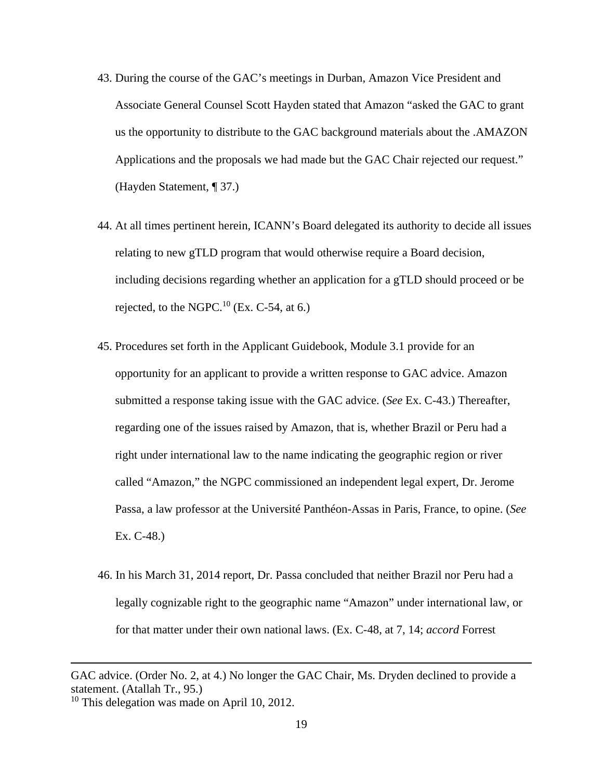- 43. During the course of the GAC's meetings in Durban, Amazon Vice President and Associate General Counsel Scott Hayden stated that Amazon "asked the GAC to grant us the opportunity to distribute to the GAC background materials about the .AMAZON Applications and the proposals we had made but the GAC Chair rejected our request." (Hayden Statement, ¶ 37.)
- 44. At all times pertinent herein, ICANN's Board delegated its authority to decide all issues relating to new gTLD program that would otherwise require a Board decision, including decisions regarding whether an application for a gTLD should proceed or be rejected, to the NGPC.<sup>10</sup> (Ex. C-54, at 6.)
- 45. Procedures set forth in the Applicant Guidebook, Module 3.1 provide for an opportunity for an applicant to provide a written response to GAC advice. Amazon submitted a response taking issue with the GAC advice. (*See* Ex. C-43.) Thereafter, regarding one of the issues raised by Amazon, that is, whether Brazil or Peru had a right under international law to the name indicating the geographic region or river called "Amazon," the NGPC commissioned an independent legal expert, Dr. Jerome Passa, a law professor at the Université Panthéon-Assas in Paris, France, to opine. (*See*  Ex. C-48.)
- 46. In his March 31, 2014 report, Dr. Passa concluded that neither Brazil nor Peru had a legally cognizable right to the geographic name "Amazon" under international law, or for that matter under their own national laws. (Ex. C-48, at 7, 14; *accord* Forrest

<u> 1989 - Johann Stein, marwolaethau a gweledydd a ganlad y ganlad y ganlad y ganlad y ganlad y ganlad y ganlad</u>

GAC advice. (Order No. 2, at 4.) No longer the GAC Chair, Ms. Dryden declined to provide a statement. (Atallah Tr., 95.)

<sup>&</sup>lt;sup>10</sup> This delegation was made on April 10, 2012.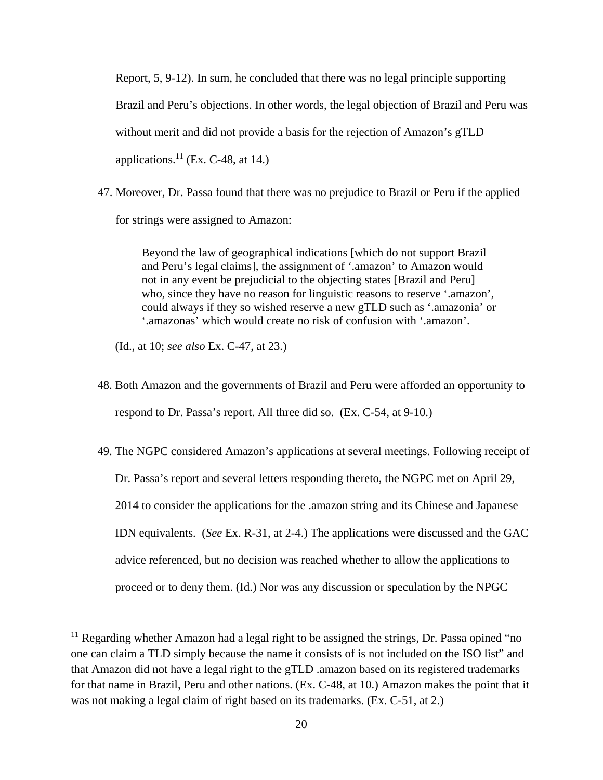Report, 5, 9-12). In sum, he concluded that there was no legal principle supporting Brazil and Peru's objections. In other words, the legal objection of Brazil and Peru was without merit and did not provide a basis for the rejection of Amazon's gTLD applications. $^{11}$  (Ex. C-48, at 14.)

47. Moreover, Dr. Passa found that there was no prejudice to Brazil or Peru if the applied for strings were assigned to Amazon:

> Beyond the law of geographical indications [which do not support Brazil and Peru's legal claims], the assignment of '.amazon' to Amazon would not in any event be prejudicial to the objecting states [Brazil and Peru] who, since they have no reason for linguistic reasons to reserve '.amazon', could always if they so wished reserve a new gTLD such as '.amazonia' or '.amazonas' which would create no risk of confusion with '.amazon'.

(Id., at 10; *see also* Ex. C-47, at 23.)

- 48. Both Amazon and the governments of Brazil and Peru were afforded an opportunity to respond to Dr. Passa's report. All three did so. (Ex. C-54, at 9-10.)
- 49. The NGPC considered Amazon's applications at several meetings. Following receipt of Dr. Passa's report and several letters responding thereto, the NGPC met on April 29, 2014 to consider the applications for the .amazon string and its Chinese and Japanese IDN equivalents. (*See* Ex. R-31, at 2-4.) The applications were discussed and the GAC advice referenced, but no decision was reached whether to allow the applications to proceed or to deny them. (Id.) Nor was any discussion or speculation by the NPGC

 $11$  Regarding whether Amazon had a legal right to be assigned the strings, Dr. Passa opined "no one can claim a TLD simply because the name it consists of is not included on the ISO list" and that Amazon did not have a legal right to the gTLD .amazon based on its registered trademarks for that name in Brazil, Peru and other nations. (Ex. C-48, at 10.) Amazon makes the point that it was not making a legal claim of right based on its trademarks. (Ex. C-51, at 2.)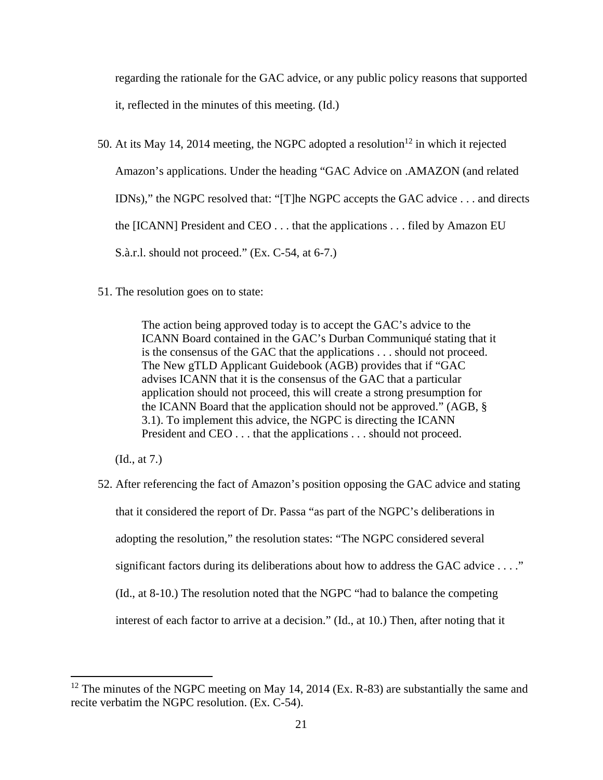regarding the rationale for the GAC advice, or any public policy reasons that supported it, reflected in the minutes of this meeting. (Id.)

50. At its May 14, 2014 meeting, the NGPC adopted a resolution<sup>12</sup> in which it rejected Amazon's applications. Under the heading "GAC Advice on .AMAZON (and related IDNs)," the NGPC resolved that: "[T]he NGPC accepts the GAC advice . . . and directs the [ICANN] President and CEO . . . that the applications . . . filed by Amazon EU S.à.r.l. should not proceed." (Ex. C-54, at 6-7.)

51. The resolution goes on to state:

The action being approved today is to accept the GAC's advice to the ICANN Board contained in the GAC's Durban Communiqué stating that it is the consensus of the GAC that the applications . . . should not proceed. The New gTLD Applicant Guidebook (AGB) provides that if "GAC advises ICANN that it is the consensus of the GAC that a particular application should not proceed, this will create a strong presumption for the ICANN Board that the application should not be approved." (AGB, § 3.1). To implement this advice, the NGPC is directing the ICANN President and CEO . . . that the applications . . . should not proceed.

(Id., at 7.)

52. After referencing the fact of Amazon's position opposing the GAC advice and stating that it considered the report of Dr. Passa "as part of the NGPC's deliberations in adopting the resolution," the resolution states: "The NGPC considered several significant factors during its deliberations about how to address the GAC advice . . . ." (Id., at 8-10.) The resolution noted that the NGPC "had to balance the competing interest of each factor to arrive at a decision." (Id., at 10.) Then, after noting that it

 $12$  The minutes of the NGPC meeting on May 14, 2014 (Ex. R-83) are substantially the same and recite verbatim the NGPC resolution. (Ex. C-54).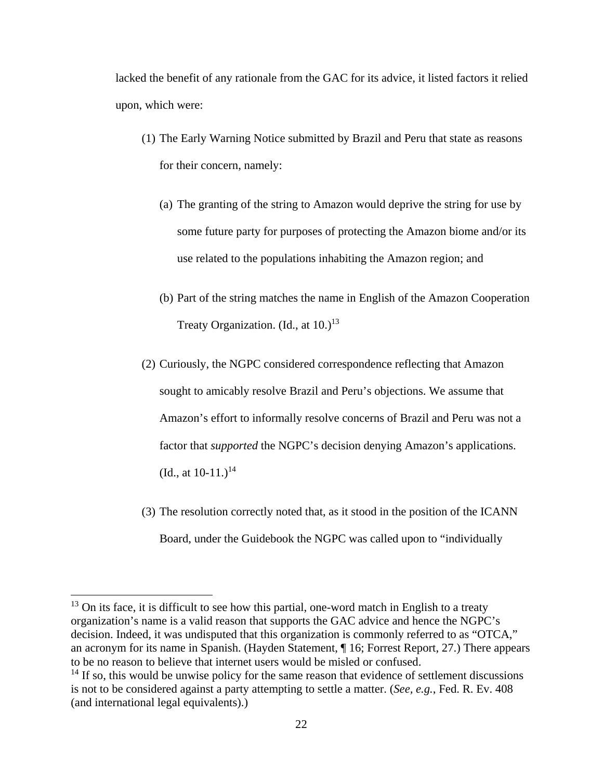lacked the benefit of any rationale from the GAC for its advice, it listed factors it relied upon, which were:

- (1) The Early Warning Notice submitted by Brazil and Peru that state as reasons for their concern, namely:
	- (a) The granting of the string to Amazon would deprive the string for use by some future party for purposes of protecting the Amazon biome and/or its use related to the populations inhabiting the Amazon region; and
	- (b) Part of the string matches the name in English of the Amazon Cooperation Treaty Organization. (Id., at  $10.^{13}$ )
- (2) Curiously, the NGPC considered correspondence reflecting that Amazon sought to amicably resolve Brazil and Peru's objections. We assume that Amazon's effort to informally resolve concerns of Brazil and Peru was not a factor that *supported* the NGPC's decision denying Amazon's applications. (Id., at  $10-11.$ )<sup>14</sup>
- (3) The resolution correctly noted that, as it stood in the position of the ICANN Board, under the Guidebook the NGPC was called upon to "individually

 $13$  On its face, it is difficult to see how this partial, one-word match in English to a treaty organization's name is a valid reason that supports the GAC advice and hence the NGPC's decision. Indeed, it was undisputed that this organization is commonly referred to as "OTCA," an acronym for its name in Spanish. (Hayden Statement, ¶ 16; Forrest Report, 27.) There appears to be no reason to believe that internet users would be misled or confused.

 $<sup>14</sup>$  If so, this would be unwise policy for the same reason that evidence of settlement discussions</sup> is not to be considered against a party attempting to settle a matter. (*See, e.g.*, Fed. R. Ev. 408 (and international legal equivalents).)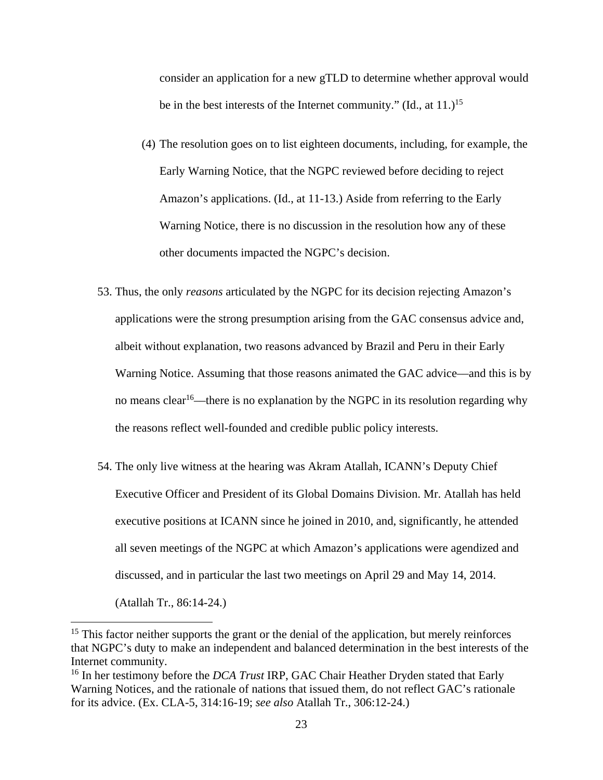consider an application for a new gTLD to determine whether approval would be in the best interests of the Internet community." (Id., at  $11.$ )<sup>15</sup>

- (4) The resolution goes on to list eighteen documents, including, for example, the Early Warning Notice, that the NGPC reviewed before deciding to reject Amazon's applications. (Id., at 11-13.) Aside from referring to the Early Warning Notice, there is no discussion in the resolution how any of these other documents impacted the NGPC's decision.
- 53. Thus, the only *reasons* articulated by the NGPC for its decision rejecting Amazon's applications were the strong presumption arising from the GAC consensus advice and, albeit without explanation, two reasons advanced by Brazil and Peru in their Early Warning Notice. Assuming that those reasons animated the GAC advice––and this is by no means clear<sup>16</sup>—there is no explanation by the NGPC in its resolution regarding why the reasons reflect well-founded and credible public policy interests.
- 54. The only live witness at the hearing was Akram Atallah, ICANN's Deputy Chief Executive Officer and President of its Global Domains Division. Mr. Atallah has held executive positions at ICANN since he joined in 2010, and, significantly, he attended all seven meetings of the NGPC at which Amazon's applications were agendized and discussed, and in particular the last two meetings on April 29 and May 14, 2014.

(Atallah Tr., 86:14-24.)

 $15$  This factor neither supports the grant or the denial of the application, but merely reinforces that NGPC's duty to make an independent and balanced determination in the best interests of the Internet community.

<sup>16</sup> In her testimony before the *DCA Trust* IRP, GAC Chair Heather Dryden stated that Early Warning Notices, and the rationale of nations that issued them, do not reflect GAC's rationale for its advice. (Ex. CLA-5, 314:16-19; *see also* Atallah Tr., 306:12-24.)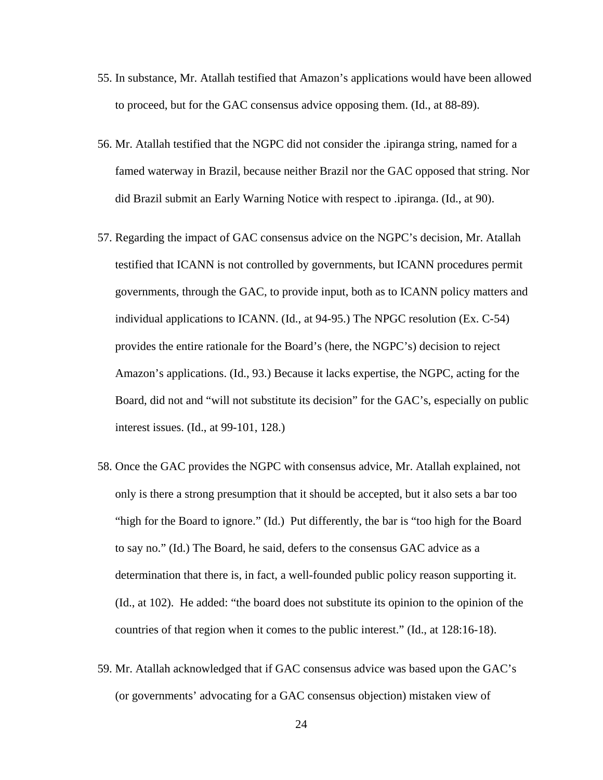- 55. In substance, Mr. Atallah testified that Amazon's applications would have been allowed to proceed, but for the GAC consensus advice opposing them. (Id., at 88-89).
- 56. Mr. Atallah testified that the NGPC did not consider the .ipiranga string, named for a famed waterway in Brazil, because neither Brazil nor the GAC opposed that string. Nor did Brazil submit an Early Warning Notice with respect to .ipiranga. (Id., at 90).
- 57. Regarding the impact of GAC consensus advice on the NGPC's decision, Mr. Atallah testified that ICANN is not controlled by governments, but ICANN procedures permit governments, through the GAC, to provide input, both as to ICANN policy matters and individual applications to ICANN. (Id., at 94-95.) The NPGC resolution (Ex. C-54) provides the entire rationale for the Board's (here, the NGPC's) decision to reject Amazon's applications. (Id., 93.) Because it lacks expertise, the NGPC, acting for the Board, did not and "will not substitute its decision" for the GAC's, especially on public interest issues. (Id., at 99-101, 128.)
- 58. Once the GAC provides the NGPC with consensus advice, Mr. Atallah explained, not only is there a strong presumption that it should be accepted, but it also sets a bar too "high for the Board to ignore." (Id.) Put differently, the bar is "too high for the Board to say no." (Id.) The Board, he said, defers to the consensus GAC advice as a determination that there is, in fact, a well-founded public policy reason supporting it. (Id., at 102). He added: "the board does not substitute its opinion to the opinion of the countries of that region when it comes to the public interest." (Id., at 128:16-18).
- 59. Mr. Atallah acknowledged that if GAC consensus advice was based upon the GAC's (or governments' advocating for a GAC consensus objection) mistaken view of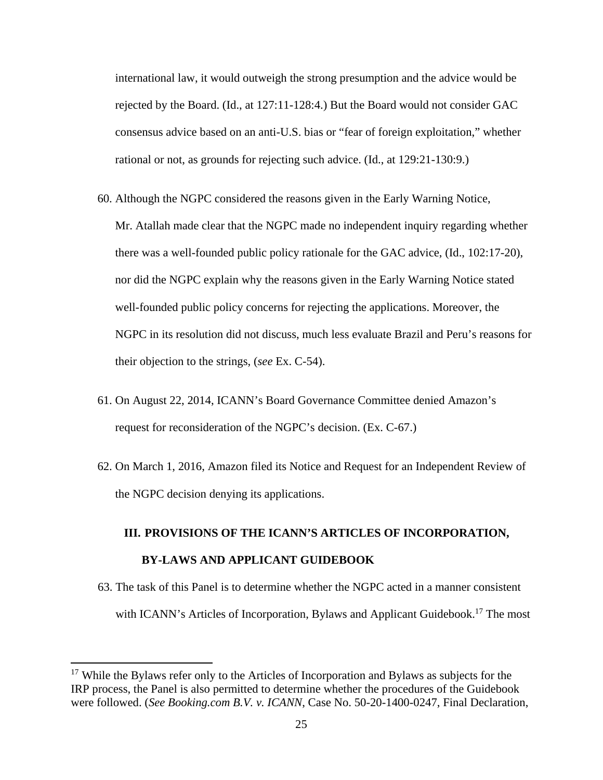international law, it would outweigh the strong presumption and the advice would be rejected by the Board. (Id., at 127:11-128:4.) But the Board would not consider GAC consensus advice based on an anti-U.S. bias or "fear of foreign exploitation," whether rational or not, as grounds for rejecting such advice. (Id., at 129:21-130:9.)

- 60. Although the NGPC considered the reasons given in the Early Warning Notice, Mr. Atallah made clear that the NGPC made no independent inquiry regarding whether there was a well-founded public policy rationale for the GAC advice, (Id., 102:17-20), nor did the NGPC explain why the reasons given in the Early Warning Notice stated well-founded public policy concerns for rejecting the applications. Moreover, the NGPC in its resolution did not discuss, much less evaluate Brazil and Peru's reasons for their objection to the strings, (*see* Ex. C-54).
- 61. On August 22, 2014, ICANN's Board Governance Committee denied Amazon's request for reconsideration of the NGPC's decision. (Ex. C-67.)
- 62. On March 1, 2016, Amazon filed its Notice and Request for an Independent Review of the NGPC decision denying its applications.

# **III. PROVISIONS OF THE ICANN'S ARTICLES OF INCORPORATION, BY-LAWS AND APPLICANT GUIDEBOOK**

63. The task of this Panel is to determine whether the NGPC acted in a manner consistent with ICANN's Articles of Incorporation, Bylaws and Applicant Guidebook.<sup>17</sup> The most

<sup>&</sup>lt;sup>17</sup> While the Bylaws refer only to the Articles of Incorporation and Bylaws as subjects for the IRP process, the Panel is also permitted to determine whether the procedures of the Guidebook were followed. (*See Booking.com B.V. v. ICANN*, Case No. 50-20-1400-0247, Final Declaration,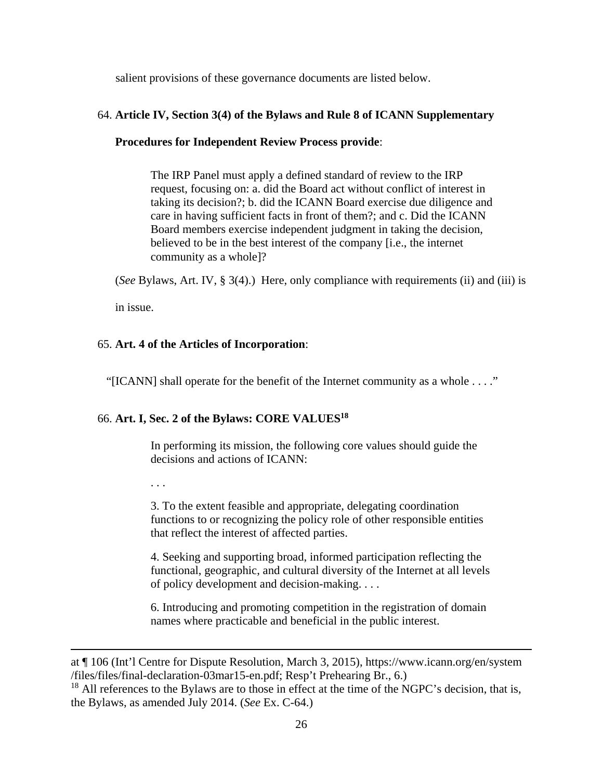salient provisions of these governance documents are listed below.

## 64. **Article IV, Section 3(4) of the Bylaws and Rule 8 of ICANN Supplementary**

## **Procedures for Independent Review Process provide**:

The IRP Panel must apply a defined standard of review to the IRP request, focusing on: a. did the Board act without conflict of interest in taking its decision?; b. did the ICANN Board exercise due diligence and care in having sufficient facts in front of them?; and c. Did the ICANN Board members exercise independent judgment in taking the decision, believed to be in the best interest of the company [i.e., the internet community as a whole]?

(*See* Bylaws, Art. IV, § 3(4).) Here, only compliance with requirements (ii) and (iii) is

in issue.

## 65. **Art. 4 of the Articles of Incorporation**:

"[ICANN] shall operate for the benefit of the Internet community as a whole . . . ."

## 66. **Art. I, Sec. 2 of the Bylaws: CORE VALUES18**

In performing its mission, the following core values should guide the decisions and actions of ICANN:

. . .

3. To the extent feasible and appropriate, delegating coordination functions to or recognizing the policy role of other responsible entities that reflect the interest of affected parties.

4. Seeking and supporting broad, informed participation reflecting the functional, geographic, and cultural diversity of the Internet at all levels of policy development and decision-making. . . .

6. Introducing and promoting competition in the registration of domain names where practicable and beneficial in the public interest.

<u> 1989 - Johann Stoff, amerikansk politiker (d. 1989)</u>

at ¶ 106 (Int'l Centre for Dispute Resolution, March 3, 2015), https://www.icann.org/en/system /files/files/final-declaration-03mar15-en.pdf; Resp't Prehearing Br., 6.)

<sup>&</sup>lt;sup>18</sup> All references to the Bylaws are to those in effect at the time of the NGPC's decision, that is, the Bylaws, as amended July 2014. (*See* Ex. C-64.)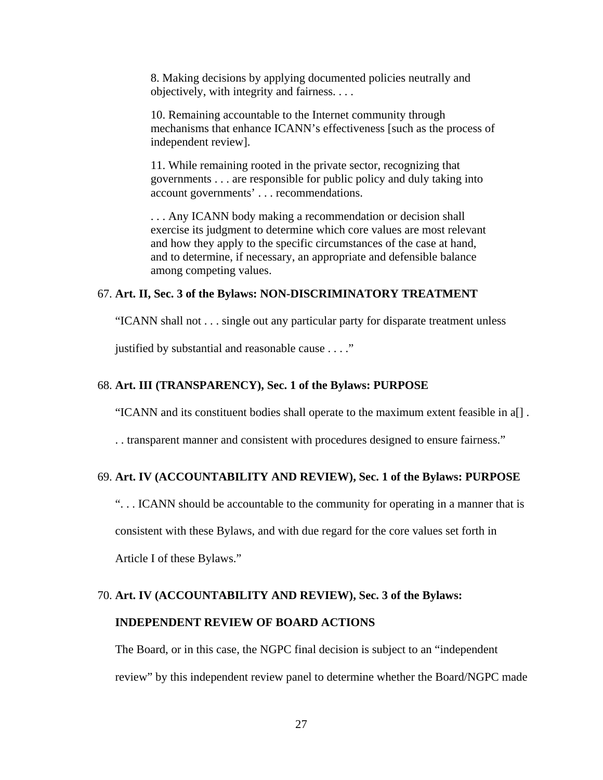8. Making decisions by applying documented policies neutrally and objectively, with integrity and fairness. . . .

10. Remaining accountable to the Internet community through mechanisms that enhance ICANN's effectiveness [such as the process of independent review].

11. While remaining rooted in the private sector, recognizing that governments . . . are responsible for public policy and duly taking into account governments' . . . recommendations.

. . . Any ICANN body making a recommendation or decision shall exercise its judgment to determine which core values are most relevant and how they apply to the specific circumstances of the case at hand, and to determine, if necessary, an appropriate and defensible balance among competing values.

#### 67. **Art. II, Sec. 3 of the Bylaws: NON-DISCRIMINATORY TREATMENT**

"ICANN shall not . . . single out any particular party for disparate treatment unless

justified by substantial and reasonable cause . . . ."

#### 68. **Art. III (TRANSPARENCY), Sec. 1 of the Bylaws: PURPOSE**

"ICANN and its constituent bodies shall operate to the maximum extent feasible in a[] .

. . transparent manner and consistent with procedures designed to ensure fairness."

### 69. **Art. IV (ACCOUNTABILITY AND REVIEW), Sec. 1 of the Bylaws: PURPOSE**

". . . ICANN should be accountable to the community for operating in a manner that is

consistent with these Bylaws, and with due regard for the core values set forth in

Article I of these Bylaws."

#### 70. **Art. IV (ACCOUNTABILITY AND REVIEW), Sec. 3 of the Bylaws:**

#### **INDEPENDENT REVIEW OF BOARD ACTIONS**

The Board, or in this case, the NGPC final decision is subject to an "independent review" by this independent review panel to determine whether the Board/NGPC made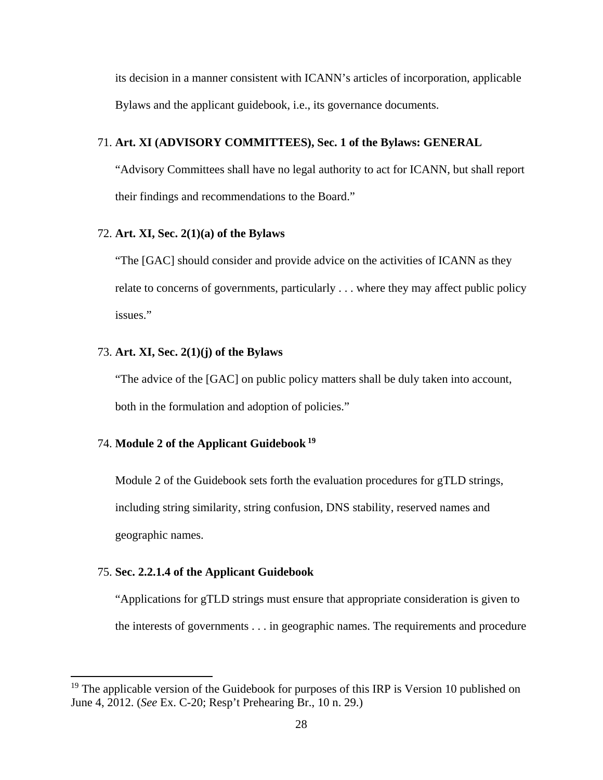its decision in a manner consistent with ICANN's articles of incorporation, applicable Bylaws and the applicant guidebook, i.e., its governance documents.

## 71. **Art. XI (ADVISORY COMMITTEES), Sec. 1 of the Bylaws: GENERAL**

"Advisory Committees shall have no legal authority to act for ICANN, but shall report their findings and recommendations to the Board."

## 72. **Art. XI, Sec. 2(1)(a) of the Bylaws**

"The [GAC] should consider and provide advice on the activities of ICANN as they relate to concerns of governments, particularly . . . where they may affect public policy issues."

## 73. **Art. XI, Sec. 2(1)(j) of the Bylaws**

"The advice of the [GAC] on public policy matters shall be duly taken into account, both in the formulation and adoption of policies."

## 74. **Module 2 of the Applicant Guidebook 19**

Module 2 of the Guidebook sets forth the evaluation procedures for gTLD strings, including string similarity, string confusion, DNS stability, reserved names and geographic names.

#### 75. **Sec. 2.2.1.4 of the Applicant Guidebook**

"Applications for gTLD strings must ensure that appropriate consideration is given to the interests of governments . . . in geographic names. The requirements and procedure

<sup>&</sup>lt;sup>19</sup> The applicable version of the Guidebook for purposes of this IRP is Version 10 published on June 4, 2012. (*See* Ex. C-20; Resp't Prehearing Br., 10 n. 29.)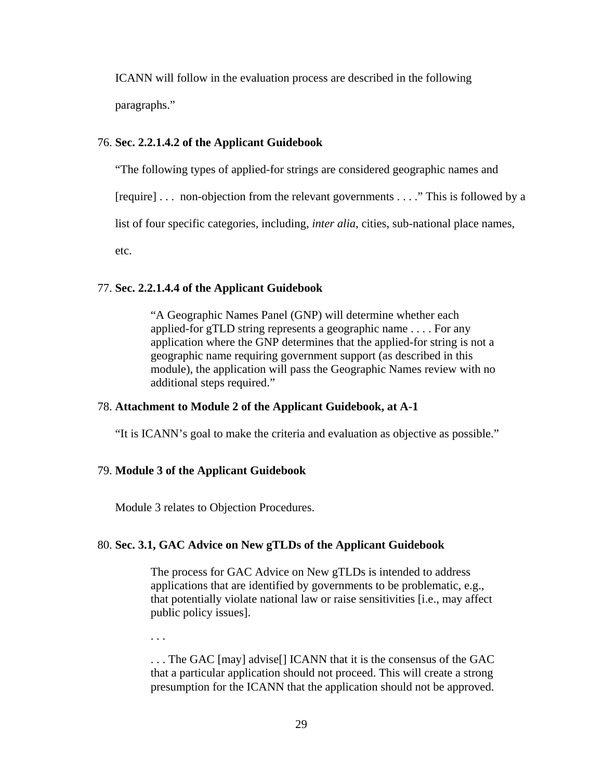ICANN will follow in the evaluation process are described in the following paragraphs."

#### 76. **Sec. 2.2.1.4.2 of the Applicant Guidebook**

"The following types of applied-for strings are considered geographic names and

[require] . . . non-objection from the relevant governments . . . ." This is followed by a

list of four specific categories, including, *inter alia*, cities, sub-national place names,

etc.

## 77. **Sec. 2.2.1.4.4 of the Applicant Guidebook**

"A Geographic Names Panel (GNP) will determine whether each applied-for gTLD string represents a geographic name . . . . For any application where the GNP determines that the applied-for string is not a geographic name requiring government support (as described in this module), the application will pass the Geographic Names review with no additional steps required."

## 78. **Attachment to Module 2 of the Applicant Guidebook, at A-1**

"It is ICANN's goal to make the criteria and evaluation as objective as possible."

## 79. **Module 3 of the Applicant Guidebook**

Module 3 relates to Objection Procedures.

## 80. **Sec. 3.1, GAC Advice on New gTLDs of the Applicant Guidebook**

The process for GAC Advice on New gTLDs is intended to address applications that are identified by governments to be problematic, e.g., that potentially violate national law or raise sensitivities [i.e., may affect public policy issues].

. . .

. . . The GAC [may] advise[] ICANN that it is the consensus of the GAC that a particular application should not proceed. This will create a strong presumption for the ICANN that the application should not be approved.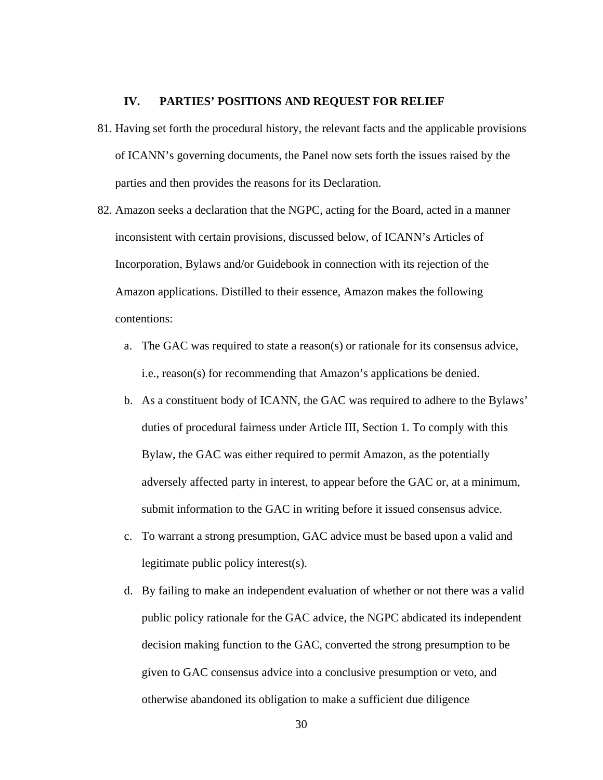#### **IV. PARTIES' POSITIONS AND REQUEST FOR RELIEF**

- 81. Having set forth the procedural history, the relevant facts and the applicable provisions of ICANN's governing documents, the Panel now sets forth the issues raised by the parties and then provides the reasons for its Declaration.
- 82. Amazon seeks a declaration that the NGPC, acting for the Board, acted in a manner inconsistent with certain provisions, discussed below, of ICANN's Articles of Incorporation, Bylaws and/or Guidebook in connection with its rejection of the Amazon applications. Distilled to their essence, Amazon makes the following contentions:
	- a. The GAC was required to state a reason(s) or rationale for its consensus advice, i.e., reason(s) for recommending that Amazon's applications be denied.
	- b. As a constituent body of ICANN, the GAC was required to adhere to the Bylaws' duties of procedural fairness under Article III, Section 1. To comply with this Bylaw, the GAC was either required to permit Amazon, as the potentially adversely affected party in interest, to appear before the GAC or, at a minimum, submit information to the GAC in writing before it issued consensus advice.
	- c. To warrant a strong presumption, GAC advice must be based upon a valid and legitimate public policy interest(s).
	- d. By failing to make an independent evaluation of whether or not there was a valid public policy rationale for the GAC advice, the NGPC abdicated its independent decision making function to the GAC, converted the strong presumption to be given to GAC consensus advice into a conclusive presumption or veto, and otherwise abandoned its obligation to make a sufficient due diligence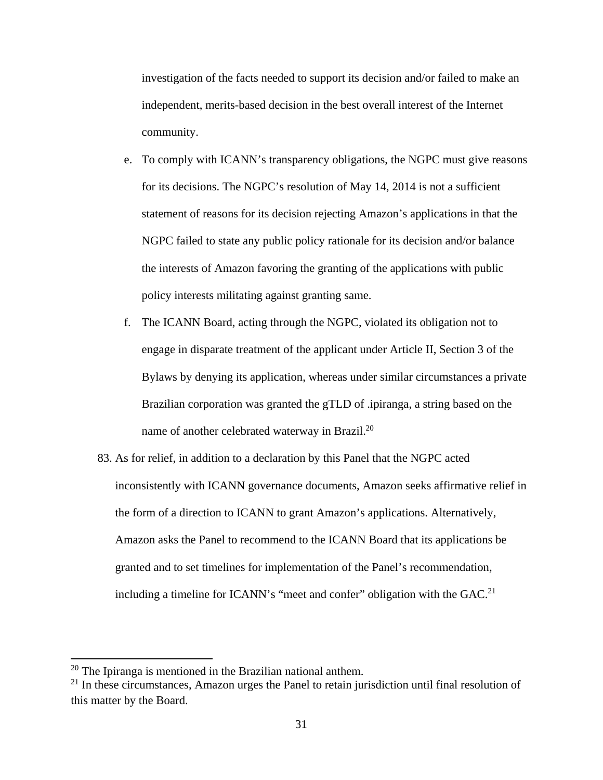investigation of the facts needed to support its decision and/or failed to make an independent, merits-based decision in the best overall interest of the Internet community.

- e. To comply with ICANN's transparency obligations, the NGPC must give reasons for its decisions. The NGPC's resolution of May 14, 2014 is not a sufficient statement of reasons for its decision rejecting Amazon's applications in that the NGPC failed to state any public policy rationale for its decision and/or balance the interests of Amazon favoring the granting of the applications with public policy interests militating against granting same.
- f. The ICANN Board, acting through the NGPC, violated its obligation not to engage in disparate treatment of the applicant under Article II, Section 3 of the Bylaws by denying its application, whereas under similar circumstances a private Brazilian corporation was granted the gTLD of .ipiranga, a string based on the name of another celebrated waterway in Brazil.20
- 83. As for relief, in addition to a declaration by this Panel that the NGPC acted inconsistently with ICANN governance documents, Amazon seeks affirmative relief in the form of a direction to ICANN to grant Amazon's applications. Alternatively, Amazon asks the Panel to recommend to the ICANN Board that its applications be granted and to set timelines for implementation of the Panel's recommendation, including a timeline for ICANN's "meet and confer" obligation with the  $GAC<sup>21</sup>$

 $20$  The Ipiranga is mentioned in the Brazilian national anthem.

 $21$  In these circumstances, Amazon urges the Panel to retain jurisdiction until final resolution of this matter by the Board.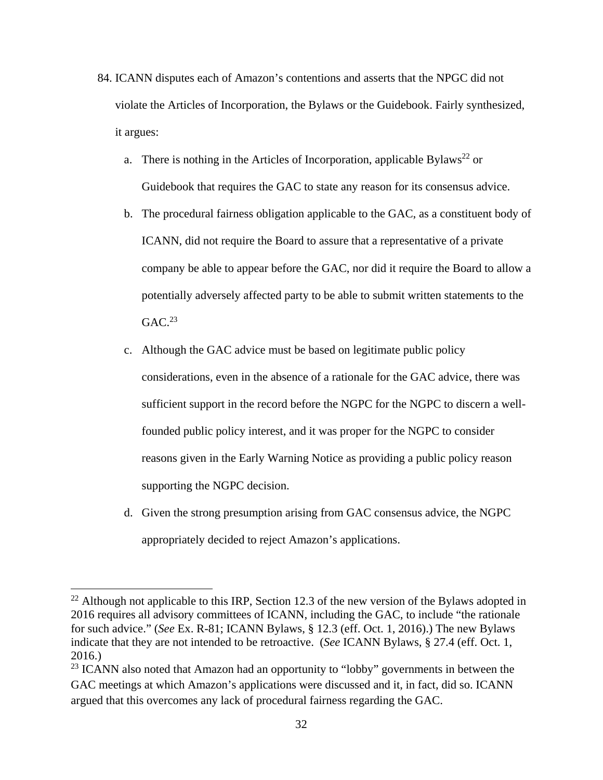- 84. ICANN disputes each of Amazon's contentions and asserts that the NPGC did not violate the Articles of Incorporation, the Bylaws or the Guidebook. Fairly synthesized, it argues:
	- a. There is nothing in the Articles of Incorporation, applicable Bylaws<sup>22</sup> or Guidebook that requires the GAC to state any reason for its consensus advice.
	- b. The procedural fairness obligation applicable to the GAC, as a constituent body of ICANN, did not require the Board to assure that a representative of a private company be able to appear before the GAC, nor did it require the Board to allow a potentially adversely affected party to be able to submit written statements to the  $GAC.<sup>23</sup>$
	- c. Although the GAC advice must be based on legitimate public policy considerations, even in the absence of a rationale for the GAC advice, there was sufficient support in the record before the NGPC for the NGPC to discern a wellfounded public policy interest, and it was proper for the NGPC to consider reasons given in the Early Warning Notice as providing a public policy reason supporting the NGPC decision.
	- d. Given the strong presumption arising from GAC consensus advice, the NGPC appropriately decided to reject Amazon's applications.

 $^{22}$  Although not applicable to this IRP, Section 12.3 of the new version of the Bylaws adopted in 2016 requires all advisory committees of ICANN, including the GAC, to include "the rationale for such advice." (*See* Ex. R-81; ICANN Bylaws, § 12.3 (eff. Oct. 1, 2016).) The new Bylaws indicate that they are not intended to be retroactive. (*See* ICANN Bylaws, § 27.4 (eff. Oct. 1, 2016.)

<sup>&</sup>lt;sup>23</sup> ICANN also noted that Amazon had an opportunity to "lobby" governments in between the GAC meetings at which Amazon's applications were discussed and it, in fact, did so. ICANN argued that this overcomes any lack of procedural fairness regarding the GAC.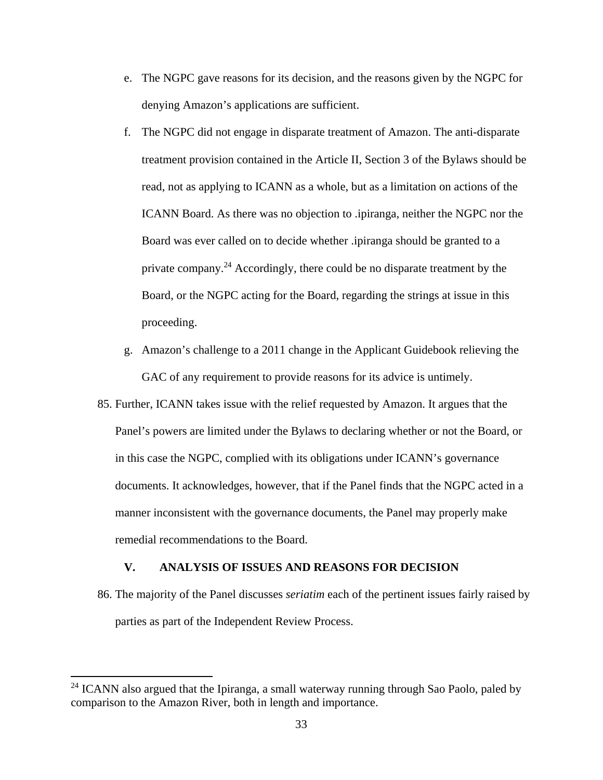- e. The NGPC gave reasons for its decision, and the reasons given by the NGPC for denying Amazon's applications are sufficient.
- f. The NGPC did not engage in disparate treatment of Amazon. The anti-disparate treatment provision contained in the Article II, Section 3 of the Bylaws should be read, not as applying to ICANN as a whole, but as a limitation on actions of the ICANN Board. As there was no objection to .ipiranga, neither the NGPC nor the Board was ever called on to decide whether .ipiranga should be granted to a private company.24 Accordingly, there could be no disparate treatment by the Board, or the NGPC acting for the Board, regarding the strings at issue in this proceeding.
- g. Amazon's challenge to a 2011 change in the Applicant Guidebook relieving the GAC of any requirement to provide reasons for its advice is untimely.
- 85. Further, ICANN takes issue with the relief requested by Amazon. It argues that the Panel's powers are limited under the Bylaws to declaring whether or not the Board, or in this case the NGPC, complied with its obligations under ICANN's governance documents. It acknowledges, however, that if the Panel finds that the NGPC acted in a manner inconsistent with the governance documents, the Panel may properly make remedial recommendations to the Board.

#### **V. ANALYSIS OF ISSUES AND REASONS FOR DECISION**

86. The majority of the Panel discusses *seriatim* each of the pertinent issues fairly raised by parties as part of the Independent Review Process.

<sup>&</sup>lt;sup>24</sup> ICANN also argued that the Ipiranga, a small waterway running through Sao Paolo, paled by comparison to the Amazon River, both in length and importance.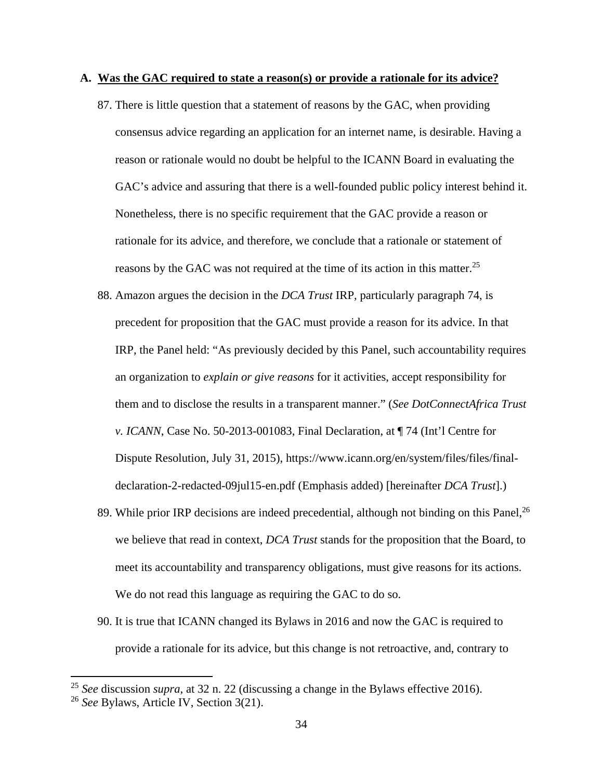#### **A. Was the GAC required to state a reason(s) or provide a rationale for its advice?**

- 87. There is little question that a statement of reasons by the GAC, when providing consensus advice regarding an application for an internet name, is desirable. Having a reason or rationale would no doubt be helpful to the ICANN Board in evaluating the GAC's advice and assuring that there is a well-founded public policy interest behind it. Nonetheless, there is no specific requirement that the GAC provide a reason or rationale for its advice, and therefore, we conclude that a rationale or statement of reasons by the GAC was not required at the time of its action in this matter.<sup>25</sup>
- 88. Amazon argues the decision in the *DCA Trust* IRP, particularly paragraph 74, is precedent for proposition that the GAC must provide a reason for its advice. In that IRP, the Panel held: "As previously decided by this Panel, such accountability requires an organization to *explain or give reasons* for it activities, accept responsibility for them and to disclose the results in a transparent manner." (*See DotConnectAfrica Trust v. ICANN*, Case No. 50-2013-001083, Final Declaration, at ¶ 74 (Int'l Centre for Dispute Resolution, July 31, 2015), https://www.icann.org/en/system/files/files/finaldeclaration-2-redacted-09jul15-en.pdf (Emphasis added) [hereinafter *DCA Trust*].)
- 89. While prior IRP decisions are indeed precedential, although not binding on this Panel,  $^{26}$ we believe that read in context, *DCA Trust* stands for the proposition that the Board, to meet its accountability and transparency obligations, must give reasons for its actions. We do not read this language as requiring the GAC to do so.
- 90. It is true that ICANN changed its Bylaws in 2016 and now the GAC is required to provide a rationale for its advice, but this change is not retroactive, and, contrary to

<sup>25</sup> *See* discussion *supra*, at 32 n. 22 (discussing a change in the Bylaws effective 2016).

<sup>26</sup> *See* Bylaws, Article IV, Section 3(21).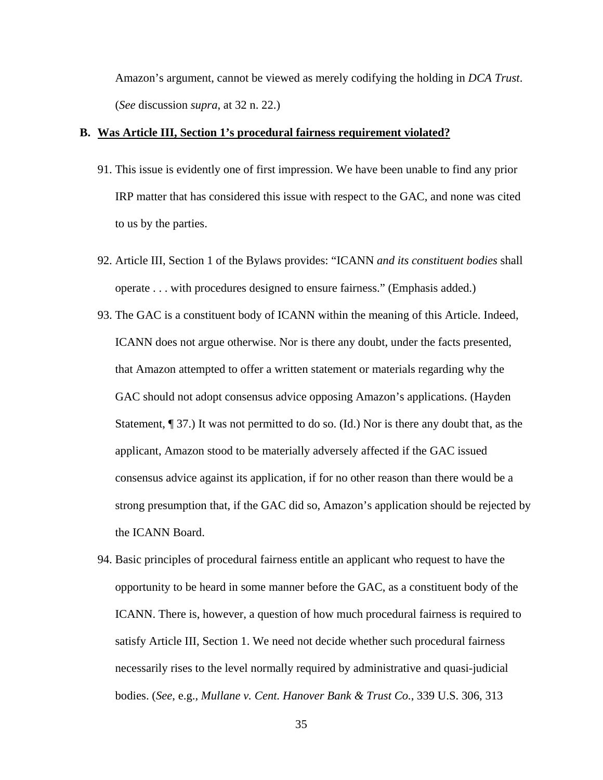Amazon's argument, cannot be viewed as merely codifying the holding in *DCA Trust*. (*See* discussion *supra*, at 32 n. 22.)

#### **B. Was Article III, Section 1's procedural fairness requirement violated?**

- 91. This issue is evidently one of first impression. We have been unable to find any prior IRP matter that has considered this issue with respect to the GAC, and none was cited to us by the parties.
- 92. Article III, Section 1 of the Bylaws provides: "ICANN *and its constituent bodies* shall operate . . . with procedures designed to ensure fairness." (Emphasis added.)
- 93. The GAC is a constituent body of ICANN within the meaning of this Article. Indeed, ICANN does not argue otherwise. Nor is there any doubt, under the facts presented, that Amazon attempted to offer a written statement or materials regarding why the GAC should not adopt consensus advice opposing Amazon's applications. (Hayden Statement, ¶ 37.) It was not permitted to do so. (Id.) Nor is there any doubt that, as the applicant, Amazon stood to be materially adversely affected if the GAC issued consensus advice against its application, if for no other reason than there would be a strong presumption that, if the GAC did so, Amazon's application should be rejected by the ICANN Board.
- 94. Basic principles of procedural fairness entitle an applicant who request to have the opportunity to be heard in some manner before the GAC, as a constituent body of the ICANN. There is, however, a question of how much procedural fairness is required to satisfy Article III, Section 1. We need not decide whether such procedural fairness necessarily rises to the level normally required by administrative and quasi-judicial bodies. (*See*, e.g., *Mullane v. Cent. Hanover Bank & Trust Co.*, 339 U.S. 306, 313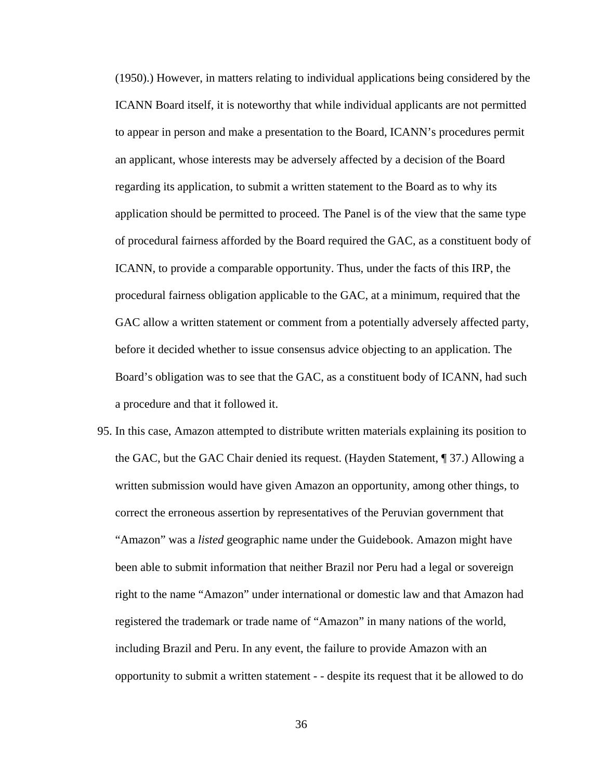(1950).) However, in matters relating to individual applications being considered by the ICANN Board itself, it is noteworthy that while individual applicants are not permitted to appear in person and make a presentation to the Board, ICANN's procedures permit an applicant, whose interests may be adversely affected by a decision of the Board regarding its application, to submit a written statement to the Board as to why its application should be permitted to proceed. The Panel is of the view that the same type of procedural fairness afforded by the Board required the GAC, as a constituent body of ICANN, to provide a comparable opportunity. Thus, under the facts of this IRP, the procedural fairness obligation applicable to the GAC, at a minimum, required that the GAC allow a written statement or comment from a potentially adversely affected party, before it decided whether to issue consensus advice objecting to an application. The Board's obligation was to see that the GAC, as a constituent body of ICANN, had such a procedure and that it followed it.

95. In this case, Amazon attempted to distribute written materials explaining its position to the GAC, but the GAC Chair denied its request. (Hayden Statement, ¶ 37.) Allowing a written submission would have given Amazon an opportunity, among other things, to correct the erroneous assertion by representatives of the Peruvian government that "Amazon" was a *listed* geographic name under the Guidebook. Amazon might have been able to submit information that neither Brazil nor Peru had a legal or sovereign right to the name "Amazon" under international or domestic law and that Amazon had registered the trademark or trade name of "Amazon" in many nations of the world, including Brazil and Peru. In any event, the failure to provide Amazon with an opportunity to submit a written statement - - despite its request that it be allowed to do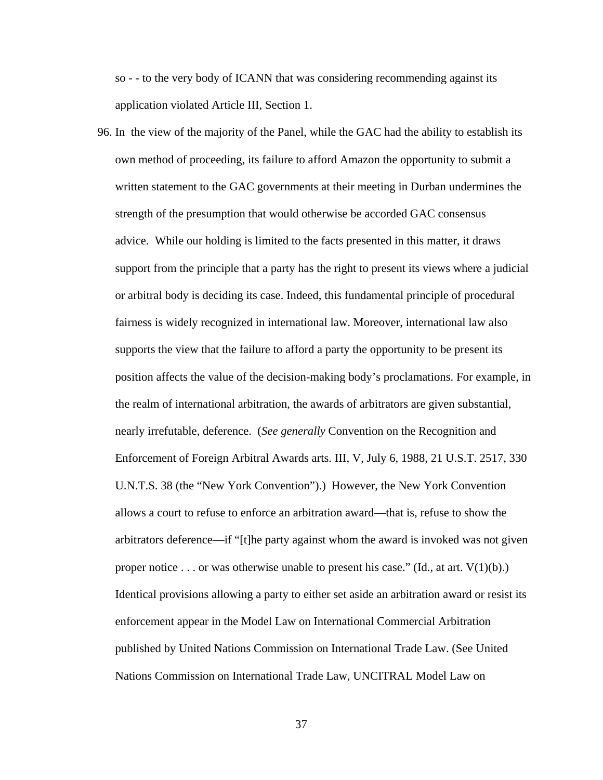so - - to the very body of ICANN that was considering recommending against its application violated Article III, Section 1.

96. In the view of the majority of the Panel, while the GAC had the ability to establish its own method of proceeding, its failure to afford Amazon the opportunity to submit a written statement to the GAC governments at their meeting in Durban undermines the strength of the presumption that would otherwise be accorded GAC consensus advice. While our holding is limited to the facts presented in this matter, it draws support from the principle that a party has the right to present its views where a judicial or arbitral body is deciding its case. Indeed, this fundamental principle of procedural fairness is widely recognized in international law. Moreover, international law also supports the view that the failure to afford a party the opportunity to be present its position affects the value of the decision-making body's proclamations. For example, in the realm of international arbitration, the awards of arbitrators are given substantial, nearly irrefutable, deference. (*See generally* Convention on the Recognition and Enforcement of Foreign Arbitral Awards arts. III, V, July 6, 1988, 21 U.S.T. 2517, 330 U.N.T.S. 38 (the "New York Convention").) However, the New York Convention allows a court to refuse to enforce an arbitration award—that is, refuse to show the arbitrators deference—if "[t]he party against whom the award is invoked was not given proper notice . . . or was otherwise unable to present his case." (Id., at art.  $V(1)(b)$ .) Identical provisions allowing a party to either set aside an arbitration award or resist its enforcement appear in the Model Law on International Commercial Arbitration published by United Nations Commission on International Trade Law. (See United Nations Commission on International Trade Law, UNCITRAL Model Law on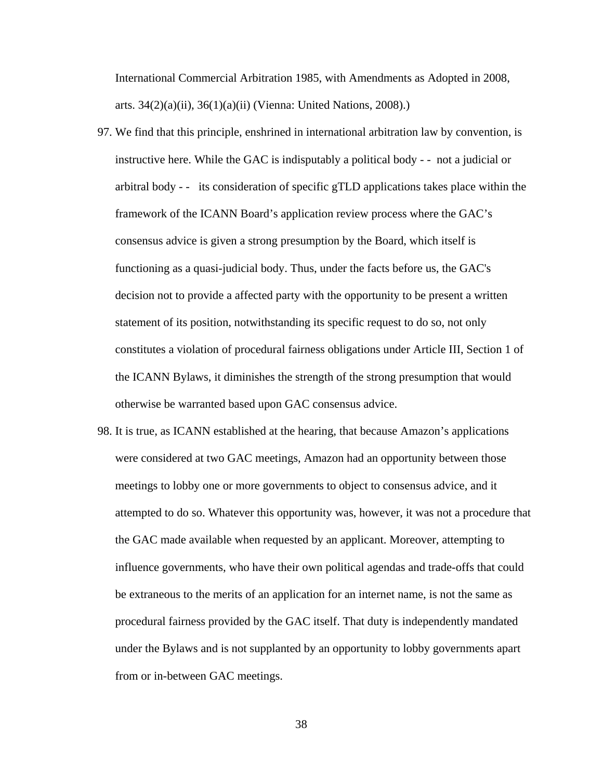International Commercial Arbitration 1985, with Amendments as Adopted in 2008, arts. 34(2)(a)(ii), 36(1)(a)(ii) (Vienna: United Nations, 2008).)

- 97. We find that this principle, enshrined in international arbitration law by convention, is instructive here. While the GAC is indisputably a political body - - not a judicial or arbitral body - - its consideration of specific gTLD applications takes place within the framework of the ICANN Board's application review process where the GAC's consensus advice is given a strong presumption by the Board, which itself is functioning as a quasi-judicial body. Thus, under the facts before us, the GAC's decision not to provide a affected party with the opportunity to be present a written statement of its position, notwithstanding its specific request to do so, not only constitutes a violation of procedural fairness obligations under Article III, Section 1 of the ICANN Bylaws, it diminishes the strength of the strong presumption that would otherwise be warranted based upon GAC consensus advice.
- 98. It is true, as ICANN established at the hearing, that because Amazon's applications were considered at two GAC meetings, Amazon had an opportunity between those meetings to lobby one or more governments to object to consensus advice, and it attempted to do so. Whatever this opportunity was, however, it was not a procedure that the GAC made available when requested by an applicant. Moreover, attempting to influence governments, who have their own political agendas and trade-offs that could be extraneous to the merits of an application for an internet name, is not the same as procedural fairness provided by the GAC itself. That duty is independently mandated under the Bylaws and is not supplanted by an opportunity to lobby governments apart from or in-between GAC meetings.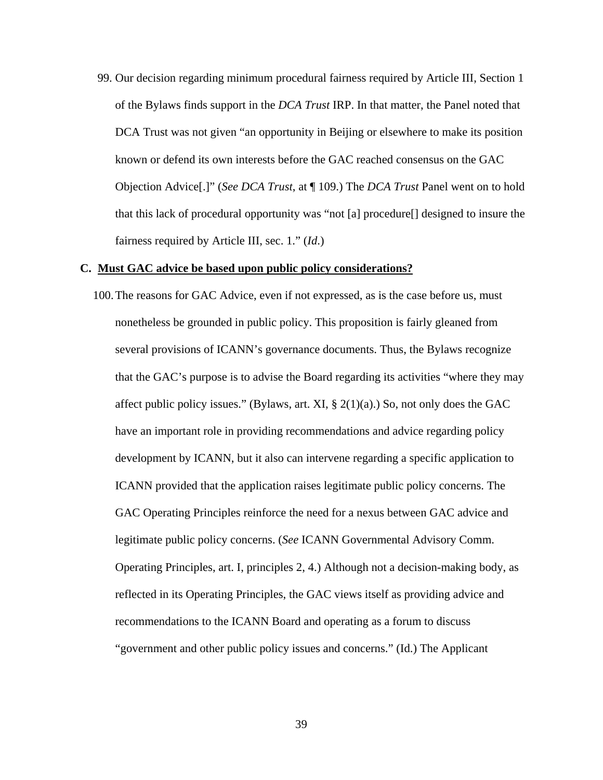99. Our decision regarding minimum procedural fairness required by Article III, Section 1 of the Bylaws finds support in the *DCA Trust* IRP. In that matter, the Panel noted that DCA Trust was not given "an opportunity in Beijing or elsewhere to make its position known or defend its own interests before the GAC reached consensus on the GAC Objection Advice[.]" (*See DCA Trust*, at ¶ 109.) The *DCA Trust* Panel went on to hold that this lack of procedural opportunity was "not [a] procedure[] designed to insure the fairness required by Article III, sec. 1." (*Id*.)

#### **C. Must GAC advice be based upon public policy considerations?**

100.The reasons for GAC Advice, even if not expressed, as is the case before us, must nonetheless be grounded in public policy. This proposition is fairly gleaned from several provisions of ICANN's governance documents. Thus, the Bylaws recognize that the GAC's purpose is to advise the Board regarding its activities "where they may affect public policy issues." (Bylaws, art. XI,  $\S$  2(1)(a).) So, not only does the GAC have an important role in providing recommendations and advice regarding policy development by ICANN, but it also can intervene regarding a specific application to ICANN provided that the application raises legitimate public policy concerns. The GAC Operating Principles reinforce the need for a nexus between GAC advice and legitimate public policy concerns. (*See* ICANN Governmental Advisory Comm. Operating Principles, art. I, principles 2, 4.) Although not a decision-making body, as reflected in its Operating Principles, the GAC views itself as providing advice and recommendations to the ICANN Board and operating as a forum to discuss "government and other public policy issues and concerns." (Id.) The Applicant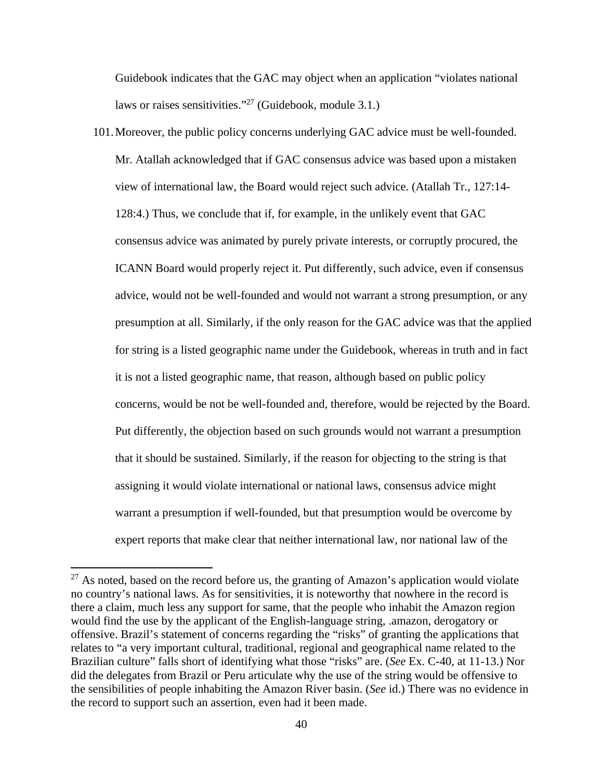Guidebook indicates that the GAC may object when an application "violates national laws or raises sensitivities."27 (Guidebook, module 3.1.)

101.Moreover, the public policy concerns underlying GAC advice must be well-founded. Mr. Atallah acknowledged that if GAC consensus advice was based upon a mistaken view of international law, the Board would reject such advice. (Atallah Tr., 127:14- 128:4.) Thus, we conclude that if, for example, in the unlikely event that GAC consensus advice was animated by purely private interests, or corruptly procured, the ICANN Board would properly reject it. Put differently, such advice, even if consensus advice, would not be well-founded and would not warrant a strong presumption, or any presumption at all. Similarly, if the only reason for the GAC advice was that the applied for string is a listed geographic name under the Guidebook, whereas in truth and in fact it is not a listed geographic name, that reason, although based on public policy concerns, would be not be well-founded and, therefore, would be rejected by the Board. Put differently, the objection based on such grounds would not warrant a presumption that it should be sustained. Similarly, if the reason for objecting to the string is that assigning it would violate international or national laws, consensus advice might warrant a presumption if well-founded, but that presumption would be overcome by expert reports that make clear that neither international law, nor national law of the

 $27$  As noted, based on the record before us, the granting of Amazon's application would violate no country's national laws. As for sensitivities, it is noteworthy that nowhere in the record is there a claim, much less any support for same, that the people who inhabit the Amazon region would find the use by the applicant of the English-language string, .amazon, derogatory or offensive. Brazil's statement of concerns regarding the "risks" of granting the applications that relates to "a very important cultural, traditional, regional and geographical name related to the Brazilian culture" falls short of identifying what those "risks" are. (*See* Ex. C-40, at 11-13.) Nor did the delegates from Brazil or Peru articulate why the use of the string would be offensive to the sensibilities of people inhabiting the Amazon River basin. (*See* id.) There was no evidence in the record to support such an assertion, even had it been made.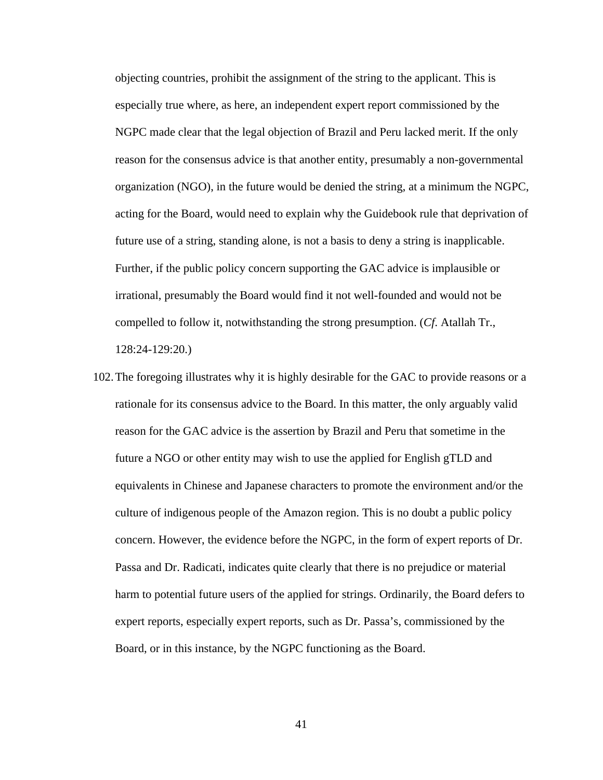objecting countries, prohibit the assignment of the string to the applicant. This is especially true where, as here, an independent expert report commissioned by the NGPC made clear that the legal objection of Brazil and Peru lacked merit. If the only reason for the consensus advice is that another entity, presumably a non-governmental organization (NGO), in the future would be denied the string, at a minimum the NGPC, acting for the Board, would need to explain why the Guidebook rule that deprivation of future use of a string, standing alone, is not a basis to deny a string is inapplicable. Further, if the public policy concern supporting the GAC advice is implausible or irrational, presumably the Board would find it not well-founded and would not be compelled to follow it, notwithstanding the strong presumption. (*Cf*. Atallah Tr., 128:24-129:20.)

102.The foregoing illustrates why it is highly desirable for the GAC to provide reasons or a rationale for its consensus advice to the Board. In this matter, the only arguably valid reason for the GAC advice is the assertion by Brazil and Peru that sometime in the future a NGO or other entity may wish to use the applied for English gTLD and equivalents in Chinese and Japanese characters to promote the environment and/or the culture of indigenous people of the Amazon region. This is no doubt a public policy concern. However, the evidence before the NGPC, in the form of expert reports of Dr. Passa and Dr. Radicati, indicates quite clearly that there is no prejudice or material harm to potential future users of the applied for strings. Ordinarily, the Board defers to expert reports, especially expert reports, such as Dr. Passa's, commissioned by the Board, or in this instance, by the NGPC functioning as the Board.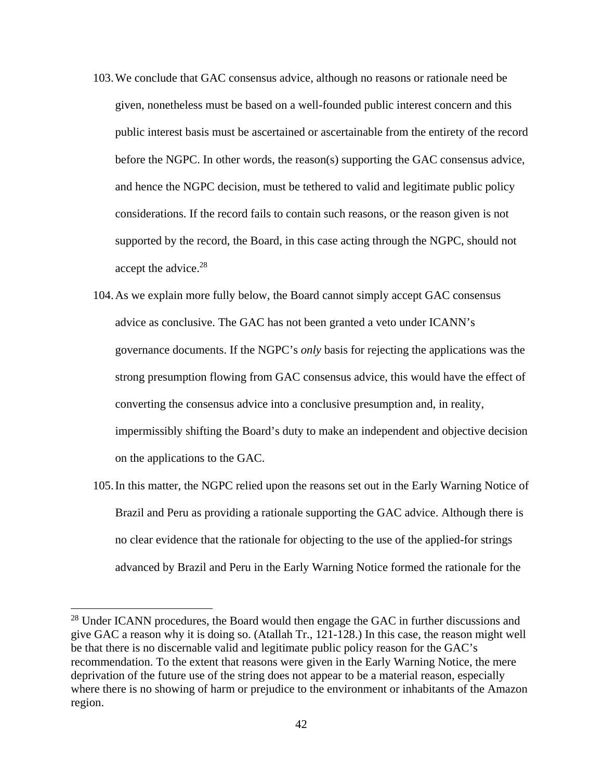- 103.We conclude that GAC consensus advice, although no reasons or rationale need be given, nonetheless must be based on a well-founded public interest concern and this public interest basis must be ascertained or ascertainable from the entirety of the record before the NGPC. In other words, the reason(s) supporting the GAC consensus advice, and hence the NGPC decision, must be tethered to valid and legitimate public policy considerations. If the record fails to contain such reasons, or the reason given is not supported by the record, the Board, in this case acting through the NGPC, should not accept the advice.<sup>28</sup>
- 104.As we explain more fully below, the Board cannot simply accept GAC consensus advice as conclusive. The GAC has not been granted a veto under ICANN's governance documents. If the NGPC's *only* basis for rejecting the applications was the strong presumption flowing from GAC consensus advice, this would have the effect of converting the consensus advice into a conclusive presumption and, in reality, impermissibly shifting the Board's duty to make an independent and objective decision on the applications to the GAC.
- 105.In this matter, the NGPC relied upon the reasons set out in the Early Warning Notice of Brazil and Peru as providing a rationale supporting the GAC advice. Although there is no clear evidence that the rationale for objecting to the use of the applied-for strings advanced by Brazil and Peru in the Early Warning Notice formed the rationale for the

<sup>&</sup>lt;sup>28</sup> Under ICANN procedures, the Board would then engage the GAC in further discussions and give GAC a reason why it is doing so. (Atallah Tr., 121-128.) In this case, the reason might well be that there is no discernable valid and legitimate public policy reason for the GAC's recommendation. To the extent that reasons were given in the Early Warning Notice, the mere deprivation of the future use of the string does not appear to be a material reason, especially where there is no showing of harm or prejudice to the environment or inhabitants of the Amazon region.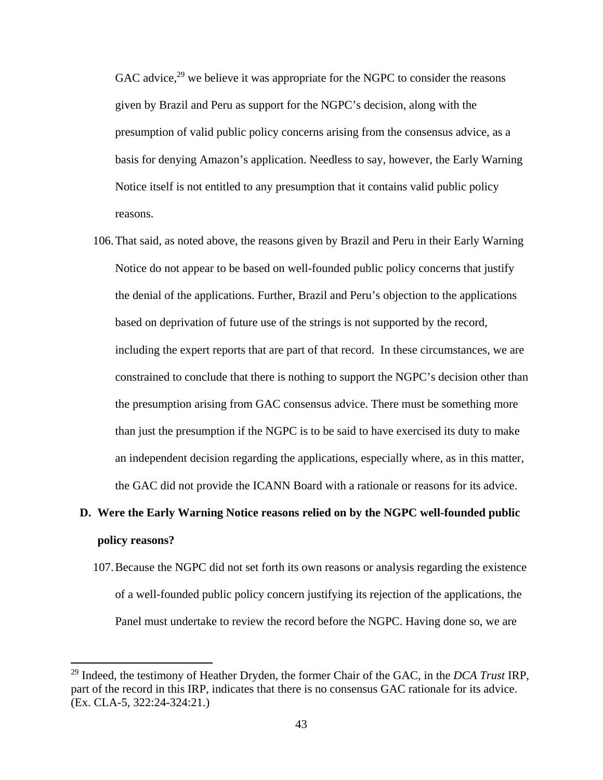GAC advice, $29$  we believe it was appropriate for the NGPC to consider the reasons given by Brazil and Peru as support for the NGPC's decision, along with the presumption of valid public policy concerns arising from the consensus advice, as a basis for denying Amazon's application. Needless to say, however, the Early Warning Notice itself is not entitled to any presumption that it contains valid public policy reasons.

106.That said, as noted above, the reasons given by Brazil and Peru in their Early Warning Notice do not appear to be based on well-founded public policy concerns that justify the denial of the applications. Further, Brazil and Peru's objection to the applications based on deprivation of future use of the strings is not supported by the record, including the expert reports that are part of that record. In these circumstances, we are constrained to conclude that there is nothing to support the NGPC's decision other than the presumption arising from GAC consensus advice. There must be something more than just the presumption if the NGPC is to be said to have exercised its duty to make an independent decision regarding the applications, especially where, as in this matter, the GAC did not provide the ICANN Board with a rationale or reasons for its advice.

## **D. Were the Early Warning Notice reasons relied on by the NGPC well-founded public policy reasons?**

107.Because the NGPC did not set forth its own reasons or analysis regarding the existence of a well-founded public policy concern justifying its rejection of the applications, the Panel must undertake to review the record before the NGPC. Having done so, we are

<sup>29</sup> Indeed, the testimony of Heather Dryden, the former Chair of the GAC, in the *DCA Trust* IRP, part of the record in this IRP, indicates that there is no consensus GAC rationale for its advice. (Ex. CLA-5, 322:24-324:21.)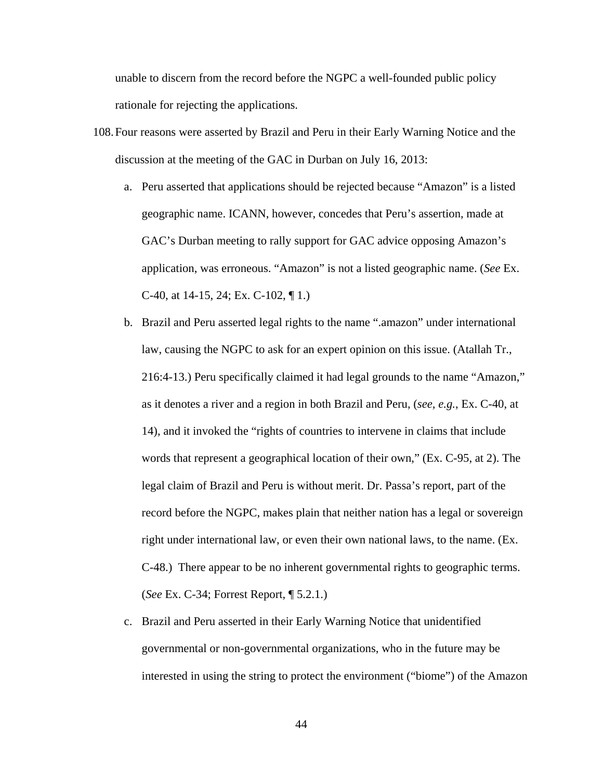unable to discern from the record before the NGPC a well-founded public policy rationale for rejecting the applications.

- 108.Four reasons were asserted by Brazil and Peru in their Early Warning Notice and the discussion at the meeting of the GAC in Durban on July 16, 2013:
	- a. Peru asserted that applications should be rejected because "Amazon" is a listed geographic name. ICANN, however, concedes that Peru's assertion, made at GAC's Durban meeting to rally support for GAC advice opposing Amazon's application, was erroneous. "Amazon" is not a listed geographic name. (*See* Ex. C-40, at 14-15, 24; Ex. C-102, ¶ 1.)
	- b. Brazil and Peru asserted legal rights to the name ".amazon" under international law, causing the NGPC to ask for an expert opinion on this issue. (Atallah Tr., 216:4-13.) Peru specifically claimed it had legal grounds to the name "Amazon," as it denotes a river and a region in both Brazil and Peru, (*see, e.g.*, Ex. C-40, at 14), and it invoked the "rights of countries to intervene in claims that include words that represent a geographical location of their own," (Ex. C-95, at 2). The legal claim of Brazil and Peru is without merit. Dr. Passa's report, part of the record before the NGPC, makes plain that neither nation has a legal or sovereign right under international law, or even their own national laws, to the name. (Ex. C-48.) There appear to be no inherent governmental rights to geographic terms. (*See* Ex. C-34; Forrest Report, ¶ 5.2.1.)
	- c. Brazil and Peru asserted in their Early Warning Notice that unidentified governmental or non-governmental organizations, who in the future may be interested in using the string to protect the environment ("biome") of the Amazon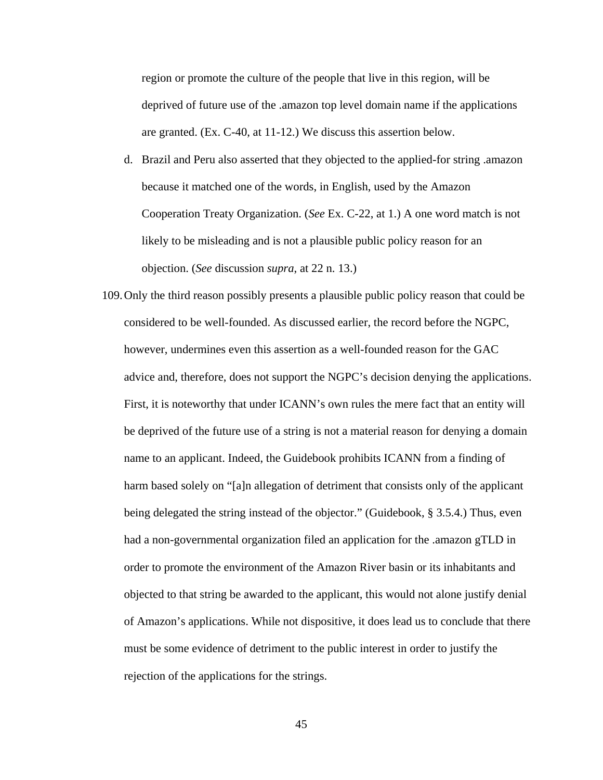region or promote the culture of the people that live in this region, will be deprived of future use of the .amazon top level domain name if the applications are granted. (Ex. C-40, at 11-12.) We discuss this assertion below.

- d. Brazil and Peru also asserted that they objected to the applied-for string .amazon because it matched one of the words, in English, used by the Amazon Cooperation Treaty Organization. (*See* Ex. C-22, at 1.) A one word match is not likely to be misleading and is not a plausible public policy reason for an objection. (*See* discussion *supra*, at 22 n. 13.)
- 109.Only the third reason possibly presents a plausible public policy reason that could be considered to be well-founded. As discussed earlier, the record before the NGPC, however, undermines even this assertion as a well-founded reason for the GAC advice and, therefore, does not support the NGPC's decision denying the applications. First, it is noteworthy that under ICANN's own rules the mere fact that an entity will be deprived of the future use of a string is not a material reason for denying a domain name to an applicant. Indeed, the Guidebook prohibits ICANN from a finding of harm based solely on "[a]n allegation of detriment that consists only of the applicant being delegated the string instead of the objector." (Guidebook, § 3.5.4.) Thus, even had a non-governmental organization filed an application for the .amazon gTLD in order to promote the environment of the Amazon River basin or its inhabitants and objected to that string be awarded to the applicant, this would not alone justify denial of Amazon's applications. While not dispositive, it does lead us to conclude that there must be some evidence of detriment to the public interest in order to justify the rejection of the applications for the strings.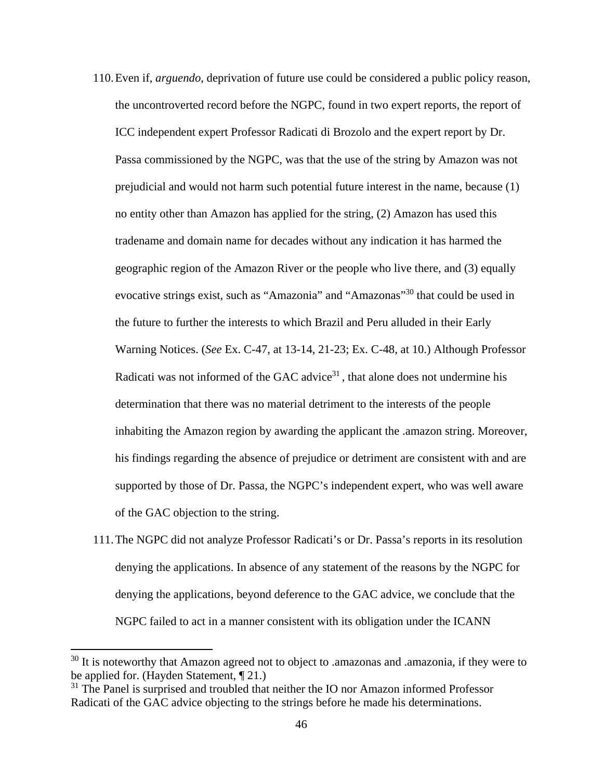- 110.Even if, *arguendo*, deprivation of future use could be considered a public policy reason, the uncontroverted record before the NGPC, found in two expert reports, the report of ICC independent expert Professor Radicati di Brozolo and the expert report by Dr. Passa commissioned by the NGPC, was that the use of the string by Amazon was not prejudicial and would not harm such potential future interest in the name, because (1) no entity other than Amazon has applied for the string, (2) Amazon has used this tradename and domain name for decades without any indication it has harmed the geographic region of the Amazon River or the people who live there, and (3) equally evocative strings exist, such as "Amazonia" and "Amazonas"<sup>30</sup> that could be used in the future to further the interests to which Brazil and Peru alluded in their Early Warning Notices. (*See* Ex. C-47, at 13-14, 21-23; Ex. C-48, at 10.) Although Professor Radicati was not informed of the GAC advice $31$ , that alone does not undermine his determination that there was no material detriment to the interests of the people inhabiting the Amazon region by awarding the applicant the .amazon string. Moreover, his findings regarding the absence of prejudice or detriment are consistent with and are supported by those of Dr. Passa, the NGPC's independent expert, who was well aware of the GAC objection to the string.
- 111.The NGPC did not analyze Professor Radicati's or Dr. Passa's reports in its resolution denying the applications. In absence of any statement of the reasons by the NGPC for denying the applications, beyond deference to the GAC advice, we conclude that the NGPC failed to act in a manner consistent with its obligation under the ICANN

 $30$  It is noteworthy that Amazon agreed not to object to .amazonas and .amazonia, if they were to be applied for. (Hayden Statement, ¶ 21.)

 $31$  The Panel is surprised and troubled that neither the IO nor Amazon informed Professor Radicati of the GAC advice objecting to the strings before he made his determinations.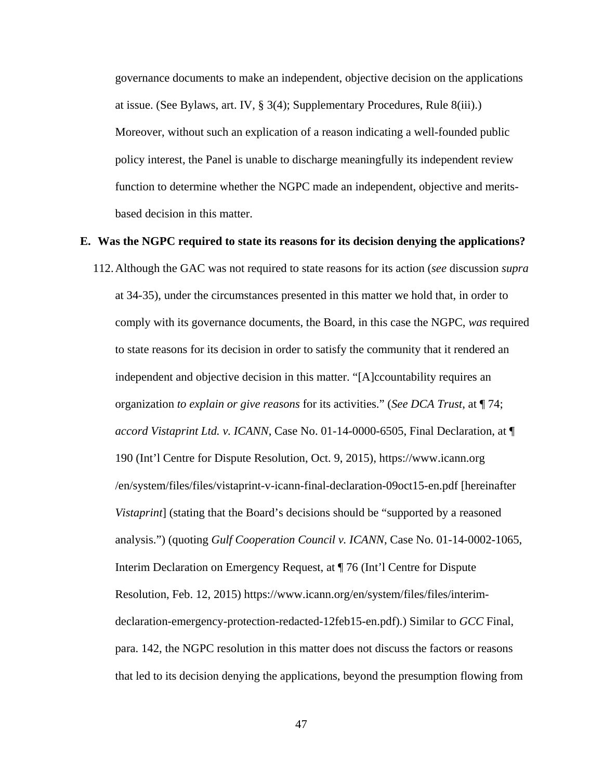governance documents to make an independent, objective decision on the applications at issue. (See Bylaws, art. IV, § 3(4); Supplementary Procedures, Rule 8(iii).) Moreover, without such an explication of a reason indicating a well-founded public policy interest, the Panel is unable to discharge meaningfully its independent review function to determine whether the NGPC made an independent, objective and meritsbased decision in this matter.

#### **E. Was the NGPC required to state its reasons for its decision denying the applications?**

112.Although the GAC was not required to state reasons for its action (*see* discussion *supra* at 34-35), under the circumstances presented in this matter we hold that, in order to comply with its governance documents, the Board, in this case the NGPC, *was* required to state reasons for its decision in order to satisfy the community that it rendered an independent and objective decision in this matter. "[A]ccountability requires an organization *to explain or give reasons* for its activities." (*See DCA Trust*, at ¶ 74; *accord Vistaprint Ltd. v. ICANN*, Case No. 01-14-0000-6505, Final Declaration, at ¶ 190 (Int'l Centre for Dispute Resolution, Oct. 9, 2015), https://www.icann.org /en/system/files/files/vistaprint-v-icann-final-declaration-09oct15-en.pdf [hereinafter *Vistaprint*] (stating that the Board's decisions should be "supported by a reasoned analysis.") (quoting *Gulf Cooperation Council v. ICANN*, Case No. 01-14-0002-1065, Interim Declaration on Emergency Request, at ¶ 76 (Int'l Centre for Dispute Resolution, Feb. 12, 2015) https://www.icann.org/en/system/files/files/interimdeclaration-emergency-protection-redacted-12feb15-en.pdf).) Similar to *GCC* Final, para. 142, the NGPC resolution in this matter does not discuss the factors or reasons that led to its decision denying the applications, beyond the presumption flowing from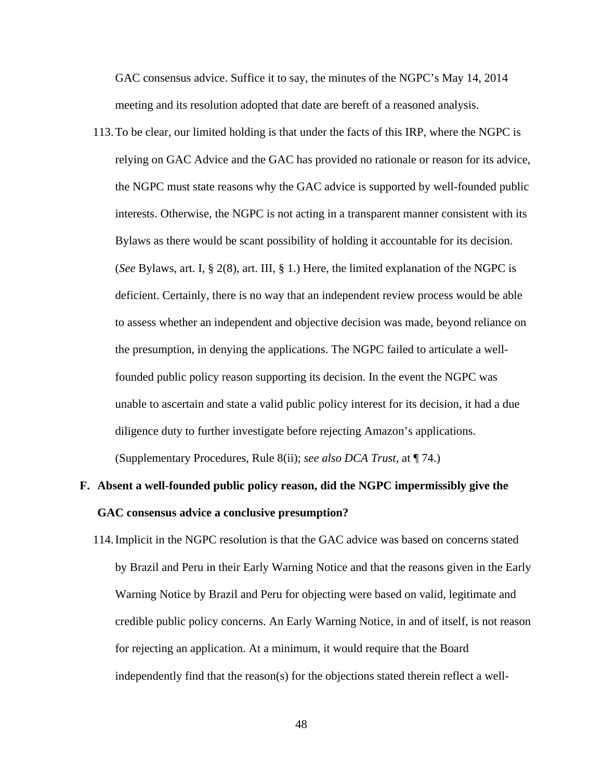GAC consensus advice. Suffice it to say, the minutes of the NGPC's May 14, 2014 meeting and its resolution adopted that date are bereft of a reasoned analysis.

113.To be clear, our limited holding is that under the facts of this IRP, where the NGPC is relying on GAC Advice and the GAC has provided no rationale or reason for its advice, the NGPC must state reasons why the GAC advice is supported by well-founded public interests. Otherwise, the NGPC is not acting in a transparent manner consistent with its Bylaws as there would be scant possibility of holding it accountable for its decision. (*See* Bylaws, art. I, § 2(8), art. III, § 1.) Here, the limited explanation of the NGPC is deficient. Certainly, there is no way that an independent review process would be able to assess whether an independent and objective decision was made, beyond reliance on the presumption, in denying the applications. The NGPC failed to articulate a wellfounded public policy reason supporting its decision. In the event the NGPC was unable to ascertain and state a valid public policy interest for its decision, it had a due diligence duty to further investigate before rejecting Amazon's applications. (Supplementary Procedures, Rule 8(ii); *see also DCA Trust*, at ¶ 74.)

## **F. Absent a well-founded public policy reason, did the NGPC impermissibly give the GAC consensus advice a conclusive presumption?**

114.Implicit in the NGPC resolution is that the GAC advice was based on concerns stated by Brazil and Peru in their Early Warning Notice and that the reasons given in the Early Warning Notice by Brazil and Peru for objecting were based on valid, legitimate and credible public policy concerns. An Early Warning Notice, in and of itself, is not reason for rejecting an application. At a minimum, it would require that the Board independently find that the reason(s) for the objections stated therein reflect a well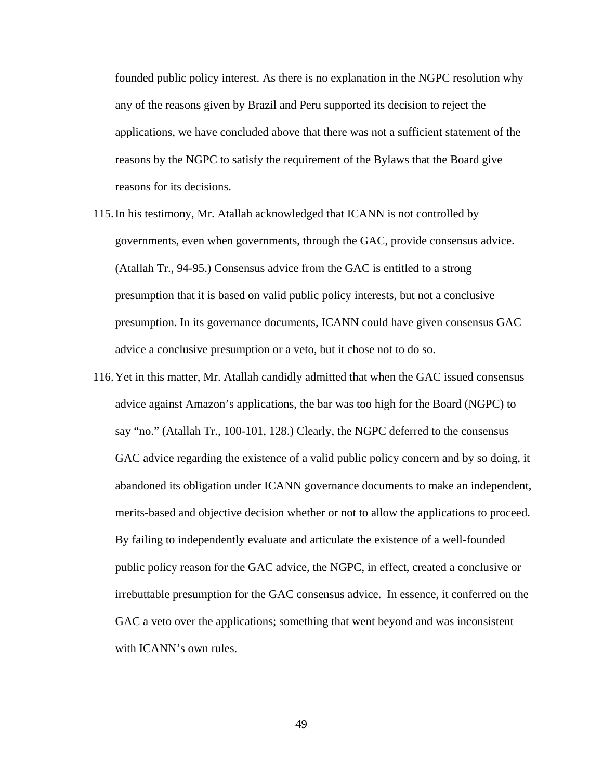founded public policy interest. As there is no explanation in the NGPC resolution why any of the reasons given by Brazil and Peru supported its decision to reject the applications, we have concluded above that there was not a sufficient statement of the reasons by the NGPC to satisfy the requirement of the Bylaws that the Board give reasons for its decisions.

- 115.In his testimony, Mr. Atallah acknowledged that ICANN is not controlled by governments, even when governments, through the GAC, provide consensus advice. (Atallah Tr., 94-95.) Consensus advice from the GAC is entitled to a strong presumption that it is based on valid public policy interests, but not a conclusive presumption. In its governance documents, ICANN could have given consensus GAC advice a conclusive presumption or a veto, but it chose not to do so.
- 116.Yet in this matter, Mr. Atallah candidly admitted that when the GAC issued consensus advice against Amazon's applications, the bar was too high for the Board (NGPC) to say "no." (Atallah Tr., 100-101, 128.) Clearly, the NGPC deferred to the consensus GAC advice regarding the existence of a valid public policy concern and by so doing, it abandoned its obligation under ICANN governance documents to make an independent, merits-based and objective decision whether or not to allow the applications to proceed. By failing to independently evaluate and articulate the existence of a well-founded public policy reason for the GAC advice, the NGPC, in effect, created a conclusive or irrebuttable presumption for the GAC consensus advice. In essence, it conferred on the GAC a veto over the applications; something that went beyond and was inconsistent with ICANN's own rules.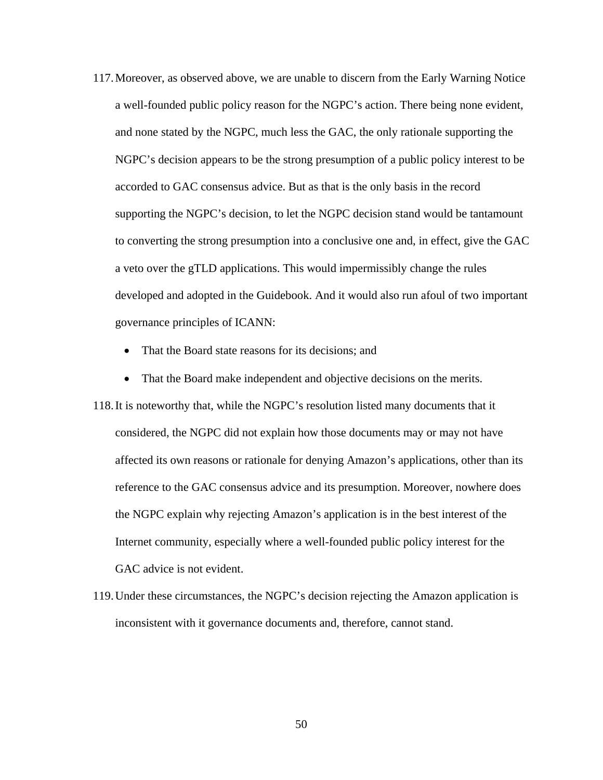- 117.Moreover, as observed above, we are unable to discern from the Early Warning Notice a well-founded public policy reason for the NGPC's action. There being none evident, and none stated by the NGPC, much less the GAC, the only rationale supporting the NGPC's decision appears to be the strong presumption of a public policy interest to be accorded to GAC consensus advice. But as that is the only basis in the record supporting the NGPC's decision, to let the NGPC decision stand would be tantamount to converting the strong presumption into a conclusive one and, in effect, give the GAC a veto over the gTLD applications. This would impermissibly change the rules developed and adopted in the Guidebook. And it would also run afoul of two important governance principles of ICANN:
	- That the Board state reasons for its decisions; and
	- That the Board make independent and objective decisions on the merits.
- 118.It is noteworthy that, while the NGPC's resolution listed many documents that it considered, the NGPC did not explain how those documents may or may not have affected its own reasons or rationale for denying Amazon's applications, other than its reference to the GAC consensus advice and its presumption. Moreover, nowhere does the NGPC explain why rejecting Amazon's application is in the best interest of the Internet community, especially where a well-founded public policy interest for the GAC advice is not evident.
- 119.Under these circumstances, the NGPC's decision rejecting the Amazon application is inconsistent with it governance documents and, therefore, cannot stand.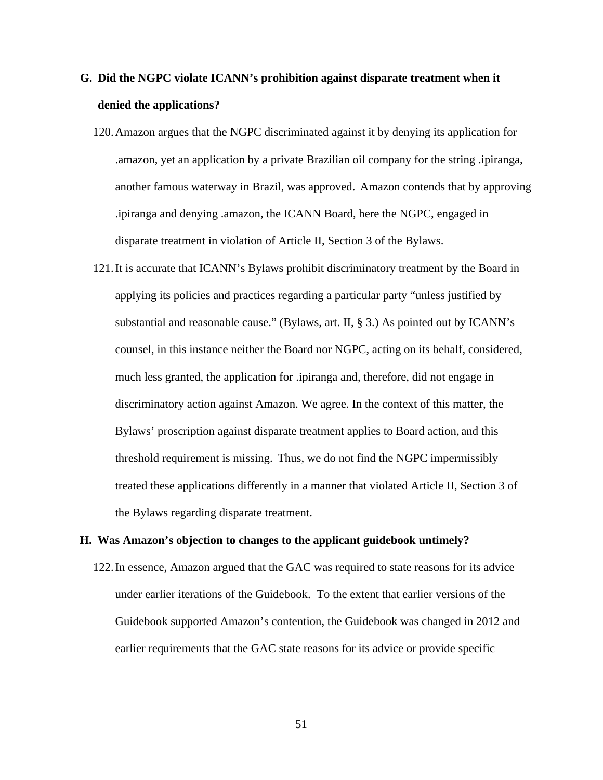## **G. Did the NGPC violate ICANN's prohibition against disparate treatment when it denied the applications?**

- 120.Amazon argues that the NGPC discriminated against it by denying its application for .amazon, yet an application by a private Brazilian oil company for the string .ipiranga, another famous waterway in Brazil, was approved. Amazon contends that by approving .ipiranga and denying .amazon, the ICANN Board, here the NGPC, engaged in disparate treatment in violation of Article II, Section 3 of the Bylaws.
- 121.It is accurate that ICANN's Bylaws prohibit discriminatory treatment by the Board in applying its policies and practices regarding a particular party "unless justified by substantial and reasonable cause." (Bylaws, art. II, § 3.) As pointed out by ICANN's counsel, in this instance neither the Board nor NGPC, acting on its behalf, considered, much less granted, the application for .ipiranga and, therefore, did not engage in discriminatory action against Amazon. We agree. In the context of this matter, the Bylaws' proscription against disparate treatment applies to Board action, and this threshold requirement is missing. Thus, we do not find the NGPC impermissibly treated these applications differently in a manner that violated Article II, Section 3 of the Bylaws regarding disparate treatment.

#### **H. Was Amazon's objection to changes to the applicant guidebook untimely?**

122.In essence, Amazon argued that the GAC was required to state reasons for its advice under earlier iterations of the Guidebook. To the extent that earlier versions of the Guidebook supported Amazon's contention, the Guidebook was changed in 2012 and earlier requirements that the GAC state reasons for its advice or provide specific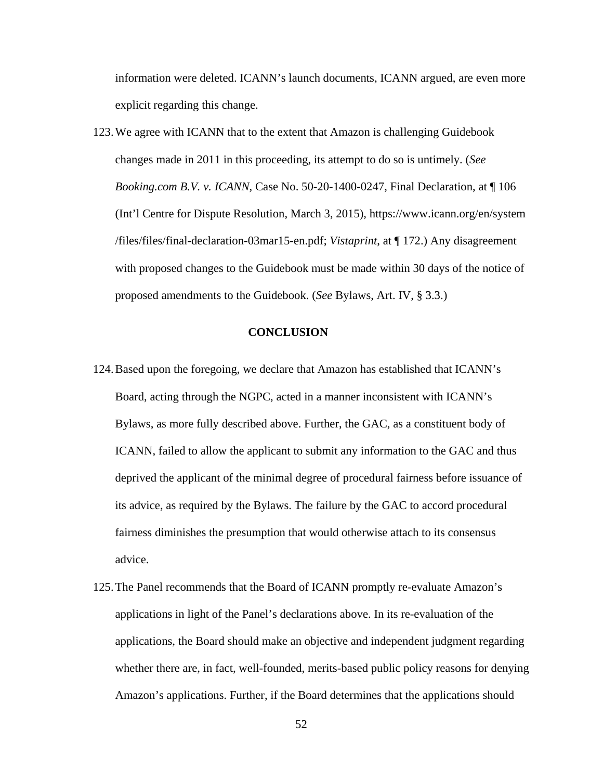information were deleted. ICANN's launch documents, ICANN argued, are even more explicit regarding this change.

123.We agree with ICANN that to the extent that Amazon is challenging Guidebook changes made in 2011 in this proceeding, its attempt to do so is untimely. (*See Booking.com B.V. v. ICANN*, Case No. 50-20-1400-0247, Final Declaration, at ¶ 106 (Int'l Centre for Dispute Resolution, March 3, 2015), https://www.icann.org/en/system /files/files/final-declaration-03mar15-en.pdf; *Vistaprint*, at ¶ 172.) Any disagreement with proposed changes to the Guidebook must be made within 30 days of the notice of proposed amendments to the Guidebook. (*See* Bylaws, Art. IV, § 3.3.)

#### **CONCLUSION**

- 124.Based upon the foregoing, we declare that Amazon has established that ICANN's Board, acting through the NGPC, acted in a manner inconsistent with ICANN's Bylaws, as more fully described above. Further, the GAC, as a constituent body of ICANN, failed to allow the applicant to submit any information to the GAC and thus deprived the applicant of the minimal degree of procedural fairness before issuance of its advice, as required by the Bylaws. The failure by the GAC to accord procedural fairness diminishes the presumption that would otherwise attach to its consensus advice.
- 125.The Panel recommends that the Board of ICANN promptly re-evaluate Amazon's applications in light of the Panel's declarations above. In its re-evaluation of the applications, the Board should make an objective and independent judgment regarding whether there are, in fact, well-founded, merits-based public policy reasons for denying Amazon's applications. Further, if the Board determines that the applications should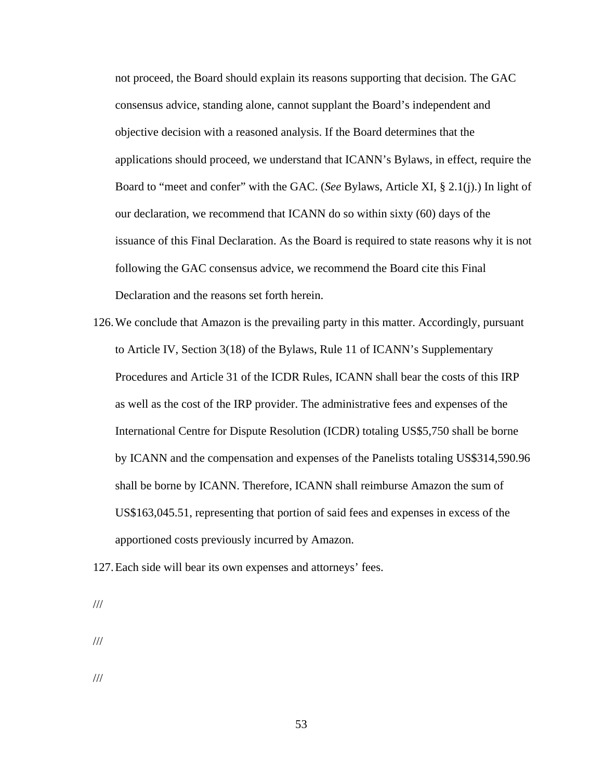not proceed, the Board should explain its reasons supporting that decision. The GAC consensus advice, standing alone, cannot supplant the Board's independent and objective decision with a reasoned analysis. If the Board determines that the applications should proceed, we understand that ICANN's Bylaws, in effect, require the Board to "meet and confer" with the GAC. (*See* Bylaws, Article XI, § 2.1(j).) In light of our declaration, we recommend that ICANN do so within sixty (60) days of the issuance of this Final Declaration. As the Board is required to state reasons why it is not following the GAC consensus advice, we recommend the Board cite this Final Declaration and the reasons set forth herein.

- 126.We conclude that Amazon is the prevailing party in this matter. Accordingly, pursuant to Article IV, Section 3(18) of the Bylaws, Rule 11 of ICANN's Supplementary Procedures and Article 31 of the ICDR Rules, ICANN shall bear the costs of this IRP as well as the cost of the IRP provider. The administrative fees and expenses of the International Centre for Dispute Resolution (ICDR) totaling US\$5,750 shall be borne by ICANN and the compensation and expenses of the Panelists totaling US\$314,590.96 shall be borne by ICANN. Therefore, ICANN shall reimburse Amazon the sum of US\$163,045.51, representing that portion of said fees and expenses in excess of the apportioned costs previously incurred by Amazon.
- 127.Each side will bear its own expenses and attorneys' fees.

///

///

///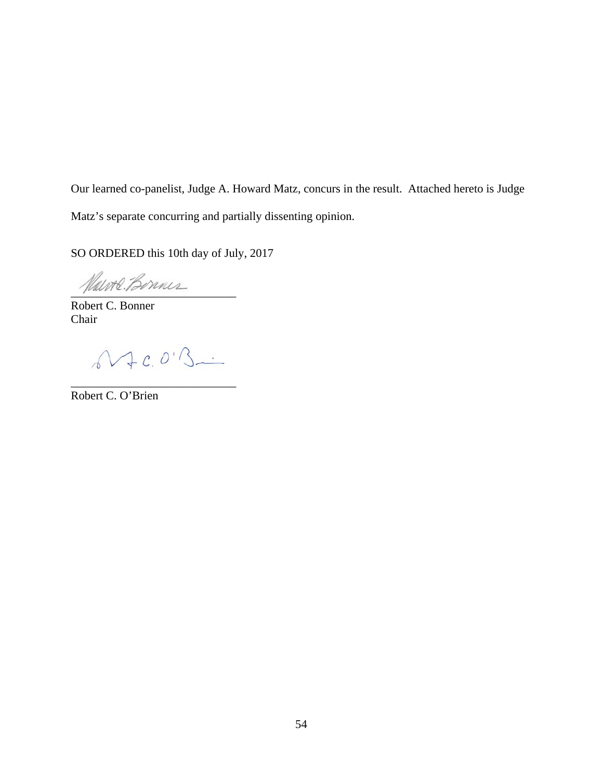Our learned co-panelist, Judge A. Howard Matz, concurs in the result. Attached hereto is Judge Matz's separate concurring and partially dissenting opinion.

SO ORDERED this 10th day of July, 2017

Hawre Bonnes

Robert C. Bonner Chair

 $0.4c.0.3...$ 

\_\_\_\_\_\_\_\_\_\_\_\_\_\_\_\_\_\_\_\_\_\_\_\_\_\_\_\_

Robert C. O'Brien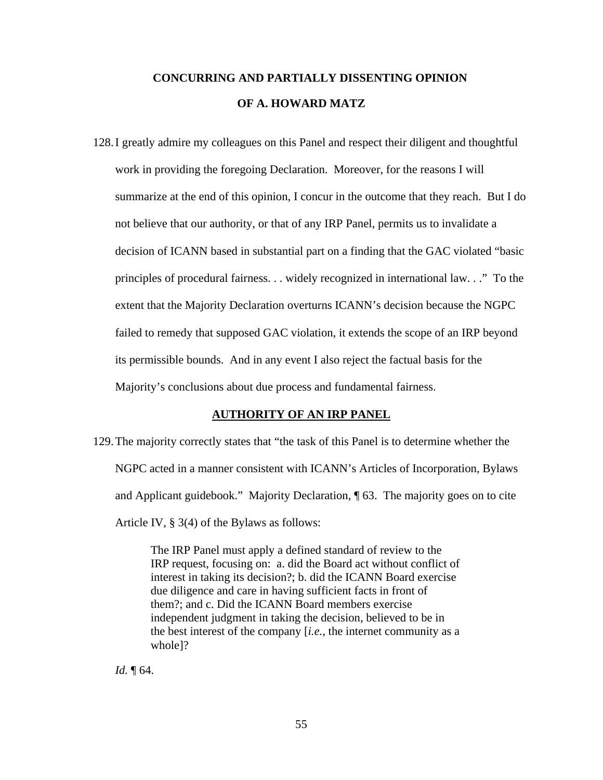## **CONCURRING AND PARTIALLY DISSENTING OPINION OF A. HOWARD MATZ**

128.I greatly admire my colleagues on this Panel and respect their diligent and thoughtful work in providing the foregoing Declaration. Moreover, for the reasons I will summarize at the end of this opinion, I concur in the outcome that they reach. But I do not believe that our authority, or that of any IRP Panel, permits us to invalidate a decision of ICANN based in substantial part on a finding that the GAC violated "basic principles of procedural fairness. . . widely recognized in international law. . ." To the extent that the Majority Declaration overturns ICANN's decision because the NGPC failed to remedy that supposed GAC violation, it extends the scope of an IRP beyond its permissible bounds. And in any event I also reject the factual basis for the Majority's conclusions about due process and fundamental fairness.

#### **AUTHORITY OF AN IRP PANEL**

129.The majority correctly states that "the task of this Panel is to determine whether the NGPC acted in a manner consistent with ICANN's Articles of Incorporation, Bylaws and Applicant guidebook." Majority Declaration, ¶ 63. The majority goes on to cite Article IV, § 3(4) of the Bylaws as follows:

> The IRP Panel must apply a defined standard of review to the IRP request, focusing on: a. did the Board act without conflict of interest in taking its decision?; b. did the ICANN Board exercise due diligence and care in having sufficient facts in front of them?; and c. Did the ICANN Board members exercise independent judgment in taking the decision, believed to be in the best interest of the company [*i.e.*, the internet community as a whole]?

*Id.* ¶ 64.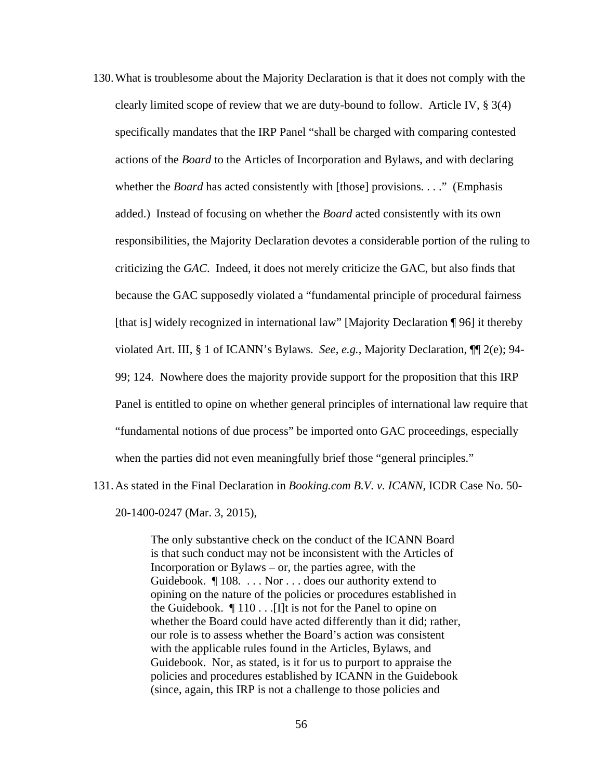- 130.What is troublesome about the Majority Declaration is that it does not comply with the clearly limited scope of review that we are duty-bound to follow. Article IV, § 3(4) specifically mandates that the IRP Panel "shall be charged with comparing contested actions of the *Board* to the Articles of Incorporation and Bylaws, and with declaring whether the *Board* has acted consistently with [those] provisions. . . ." (Emphasis added.) Instead of focusing on whether the *Board* acted consistently with its own responsibilities, the Majority Declaration devotes a considerable portion of the ruling to criticizing the *GAC*. Indeed, it does not merely criticize the GAC, but also finds that because the GAC supposedly violated a "fundamental principle of procedural fairness [that is] widely recognized in international law" [Majority Declaration ¶ 96] it thereby violated Art. III, § 1 of ICANN's Bylaws. *See*, *e.g.*, Majority Declaration, ¶¶ 2(e); 94- 99; 124. Nowhere does the majority provide support for the proposition that this IRP Panel is entitled to opine on whether general principles of international law require that "fundamental notions of due process" be imported onto GAC proceedings, especially when the parties did not even meaningfully brief those "general principles."
- 131.As stated in the Final Declaration in *Booking.com B.V. v. ICANN*, ICDR Case No. 50- 20-1400-0247 (Mar. 3, 2015),

The only substantive check on the conduct of the ICANN Board is that such conduct may not be inconsistent with the Articles of Incorporation or Bylaws – or, the parties agree, with the Guidebook. ¶ 108. . . . Nor . . . does our authority extend to opining on the nature of the policies or procedures established in the Guidebook.  $\P$  110 . . . [I]t is not for the Panel to opine on whether the Board could have acted differently than it did; rather, our role is to assess whether the Board's action was consistent with the applicable rules found in the Articles, Bylaws, and Guidebook. Nor, as stated, is it for us to purport to appraise the policies and procedures established by ICANN in the Guidebook (since, again, this IRP is not a challenge to those policies and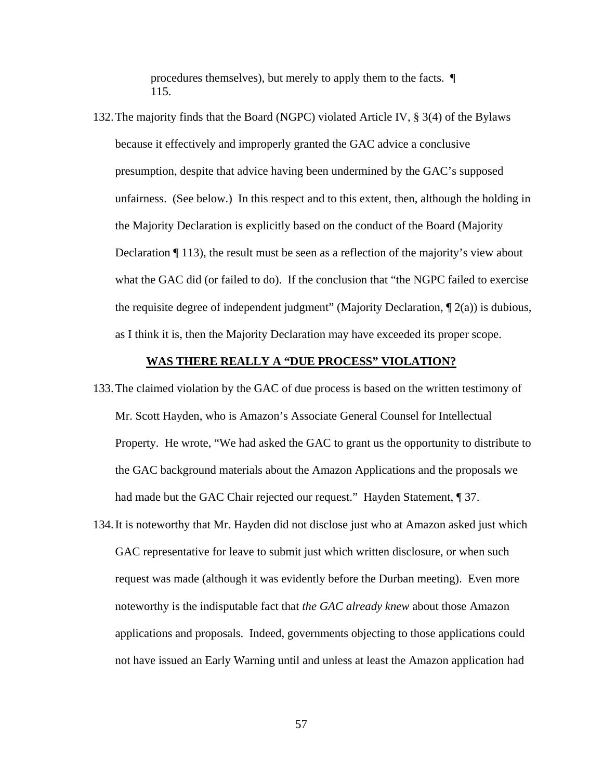procedures themselves), but merely to apply them to the facts. ¶ 115.

132.The majority finds that the Board (NGPC) violated Article IV, § 3(4) of the Bylaws because it effectively and improperly granted the GAC advice a conclusive presumption, despite that advice having been undermined by the GAC's supposed unfairness. (See below.) In this respect and to this extent, then, although the holding in the Majority Declaration is explicitly based on the conduct of the Board (Majority Declaration ¶ 113), the result must be seen as a reflection of the majority's view about what the GAC did (or failed to do). If the conclusion that "the NGPC failed to exercise the requisite degree of independent judgment" (Majority Declaration,  $\P$  2(a)) is dubious, as I think it is, then the Majority Declaration may have exceeded its proper scope.

#### **WAS THERE REALLY A "DUE PROCESS" VIOLATION?**

- 133.The claimed violation by the GAC of due process is based on the written testimony of Mr. Scott Hayden, who is Amazon's Associate General Counsel for Intellectual Property. He wrote, "We had asked the GAC to grant us the opportunity to distribute to the GAC background materials about the Amazon Applications and the proposals we had made but the GAC Chair rejected our request." Hayden Statement, 1 37.
- 134.It is noteworthy that Mr. Hayden did not disclose just who at Amazon asked just which GAC representative for leave to submit just which written disclosure, or when such request was made (although it was evidently before the Durban meeting). Even more noteworthy is the indisputable fact that *the GAC already knew* about those Amazon applications and proposals. Indeed, governments objecting to those applications could not have issued an Early Warning until and unless at least the Amazon application had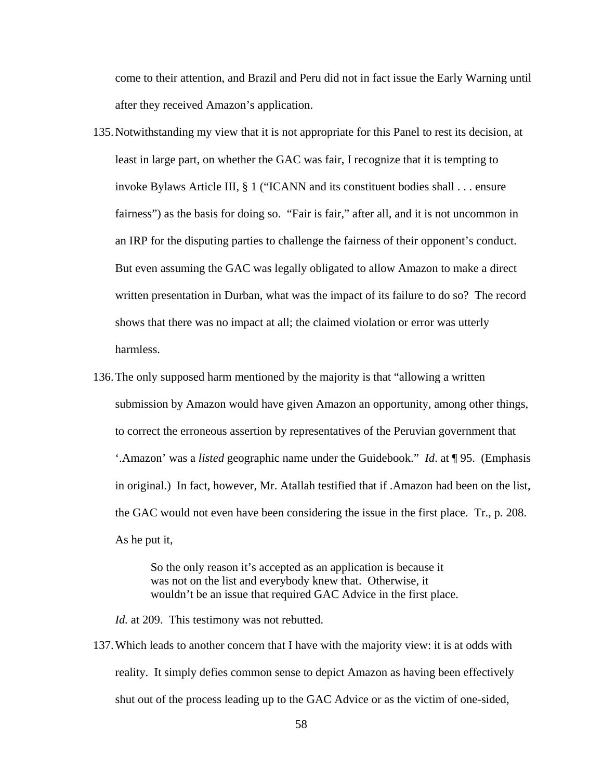come to their attention, and Brazil and Peru did not in fact issue the Early Warning until after they received Amazon's application.

- 135.Notwithstanding my view that it is not appropriate for this Panel to rest its decision, at least in large part, on whether the GAC was fair, I recognize that it is tempting to invoke Bylaws Article III, § 1 ("ICANN and its constituent bodies shall . . . ensure fairness") as the basis for doing so. "Fair is fair," after all, and it is not uncommon in an IRP for the disputing parties to challenge the fairness of their opponent's conduct. But even assuming the GAC was legally obligated to allow Amazon to make a direct written presentation in Durban, what was the impact of its failure to do so? The record shows that there was no impact at all; the claimed violation or error was utterly harmless.
- 136.The only supposed harm mentioned by the majority is that "allowing a written submission by Amazon would have given Amazon an opportunity, among other things, to correct the erroneous assertion by representatives of the Peruvian government that '.Amazon' was a *listed* geographic name under the Guidebook." *Id*. at ¶ 95. (Emphasis in original.) In fact, however, Mr. Atallah testified that if .Amazon had been on the list, the GAC would not even have been considering the issue in the first place. Tr., p. 208. As he put it,

So the only reason it's accepted as an application is because it was not on the list and everybody knew that. Otherwise, it wouldn't be an issue that required GAC Advice in the first place.

*Id.* at 209. This testimony was not rebutted.

137.Which leads to another concern that I have with the majority view: it is at odds with reality. It simply defies common sense to depict Amazon as having been effectively shut out of the process leading up to the GAC Advice or as the victim of one-sided,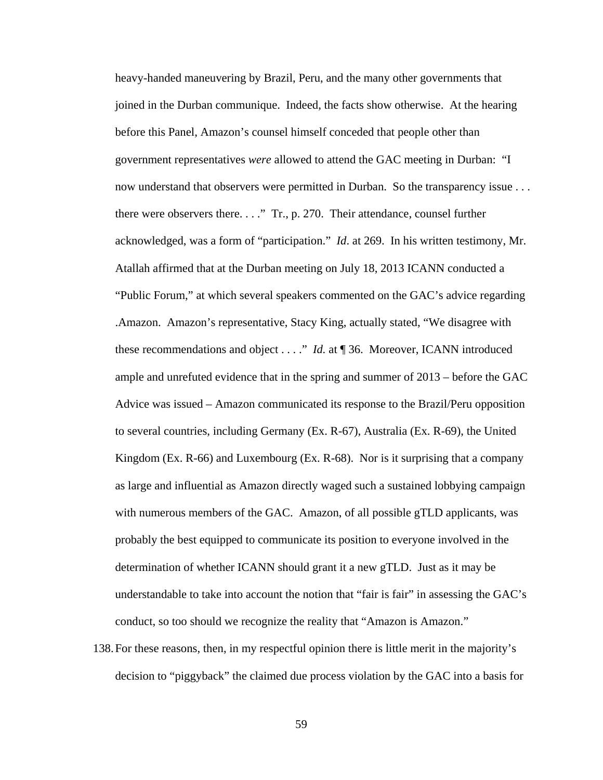heavy-handed maneuvering by Brazil, Peru, and the many other governments that joined in the Durban communique. Indeed, the facts show otherwise. At the hearing before this Panel, Amazon's counsel himself conceded that people other than government representatives *were* allowed to attend the GAC meeting in Durban: "I now understand that observers were permitted in Durban. So the transparency issue . . . there were observers there. . . ." Tr., p. 270. Their attendance, counsel further acknowledged, was a form of "participation." *Id*. at 269. In his written testimony, Mr. Atallah affirmed that at the Durban meeting on July 18, 2013 ICANN conducted a "Public Forum," at which several speakers commented on the GAC's advice regarding .Amazon. Amazon's representative, Stacy King, actually stated, "We disagree with these recommendations and object . . . ." *Id.* at ¶ 36. Moreover, ICANN introduced ample and unrefuted evidence that in the spring and summer of 2013 – before the GAC Advice was issued – Amazon communicated its response to the Brazil/Peru opposition to several countries, including Germany (Ex. R-67), Australia (Ex. R-69), the United Kingdom (Ex. R-66) and Luxembourg (Ex. R-68). Nor is it surprising that a company as large and influential as Amazon directly waged such a sustained lobbying campaign with numerous members of the GAC. Amazon, of all possible gTLD applicants, was probably the best equipped to communicate its position to everyone involved in the determination of whether ICANN should grant it a new gTLD. Just as it may be understandable to take into account the notion that "fair is fair" in assessing the GAC's conduct, so too should we recognize the reality that "Amazon is Amazon."

138.For these reasons, then, in my respectful opinion there is little merit in the majority's decision to "piggyback" the claimed due process violation by the GAC into a basis for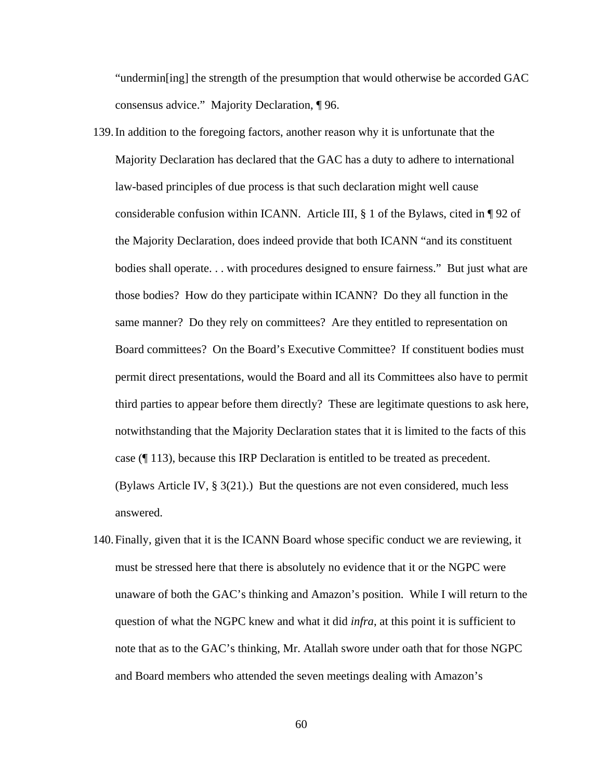"undermin[ing] the strength of the presumption that would otherwise be accorded GAC consensus advice." Majority Declaration, ¶ 96.

- 139.In addition to the foregoing factors, another reason why it is unfortunate that the Majority Declaration has declared that the GAC has a duty to adhere to international law-based principles of due process is that such declaration might well cause considerable confusion within ICANN. Article III, § 1 of the Bylaws, cited in ¶ 92 of the Majority Declaration, does indeed provide that both ICANN "and its constituent bodies shall operate. . . with procedures designed to ensure fairness." But just what are those bodies? How do they participate within ICANN? Do they all function in the same manner? Do they rely on committees? Are they entitled to representation on Board committees? On the Board's Executive Committee? If constituent bodies must permit direct presentations, would the Board and all its Committees also have to permit third parties to appear before them directly? These are legitimate questions to ask here, notwithstanding that the Majority Declaration states that it is limited to the facts of this case (¶ 113), because this IRP Declaration is entitled to be treated as precedent. (Bylaws Article IV,  $\S 3(21)$ .) But the questions are not even considered, much less answered.
- 140.Finally, given that it is the ICANN Board whose specific conduct we are reviewing, it must be stressed here that there is absolutely no evidence that it or the NGPC were unaware of both the GAC's thinking and Amazon's position. While I will return to the question of what the NGPC knew and what it did *infra*, at this point it is sufficient to note that as to the GAC's thinking, Mr. Atallah swore under oath that for those NGPC and Board members who attended the seven meetings dealing with Amazon's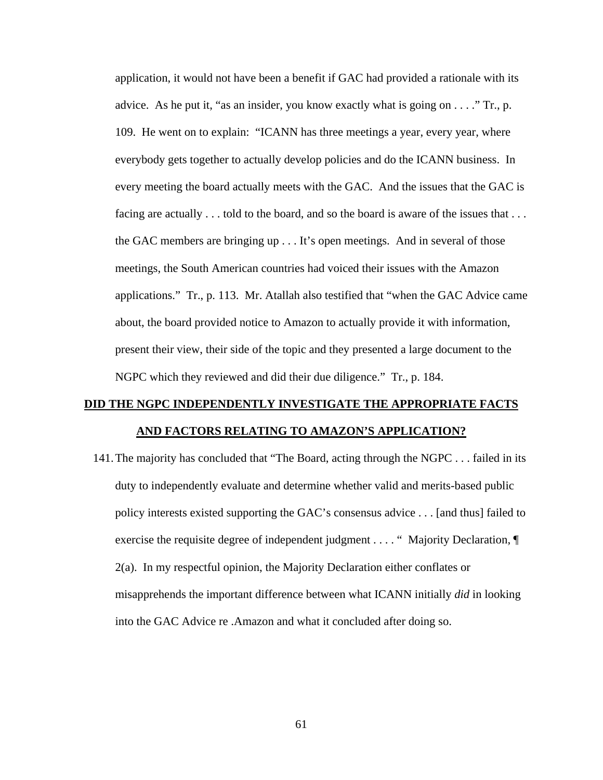application, it would not have been a benefit if GAC had provided a rationale with its advice. As he put it, "as an insider, you know exactly what is going on  $\dots$ ." Tr., p. 109. He went on to explain: "ICANN has three meetings a year, every year, where everybody gets together to actually develop policies and do the ICANN business. In every meeting the board actually meets with the GAC. And the issues that the GAC is facing are actually . . . told to the board, and so the board is aware of the issues that . . . the GAC members are bringing up . . . It's open meetings. And in several of those meetings, the South American countries had voiced their issues with the Amazon applications." Tr., p. 113. Mr. Atallah also testified that "when the GAC Advice came about, the board provided notice to Amazon to actually provide it with information, present their view, their side of the topic and they presented a large document to the NGPC which they reviewed and did their due diligence." Tr., p. 184.

## **DID THE NGPC INDEPENDENTLY INVESTIGATE THE APPROPRIATE FACTS AND FACTORS RELATING TO AMAZON'S APPLICATION?**

141.The majority has concluded that "The Board, acting through the NGPC . . . failed in its duty to independently evaluate and determine whether valid and merits-based public policy interests existed supporting the GAC's consensus advice . . . [and thus] failed to exercise the requisite degree of independent judgment . . . . " Majority Declaration, ¶ 2(a). In my respectful opinion, the Majority Declaration either conflates or misapprehends the important difference between what ICANN initially *did* in looking into the GAC Advice re .Amazon and what it concluded after doing so.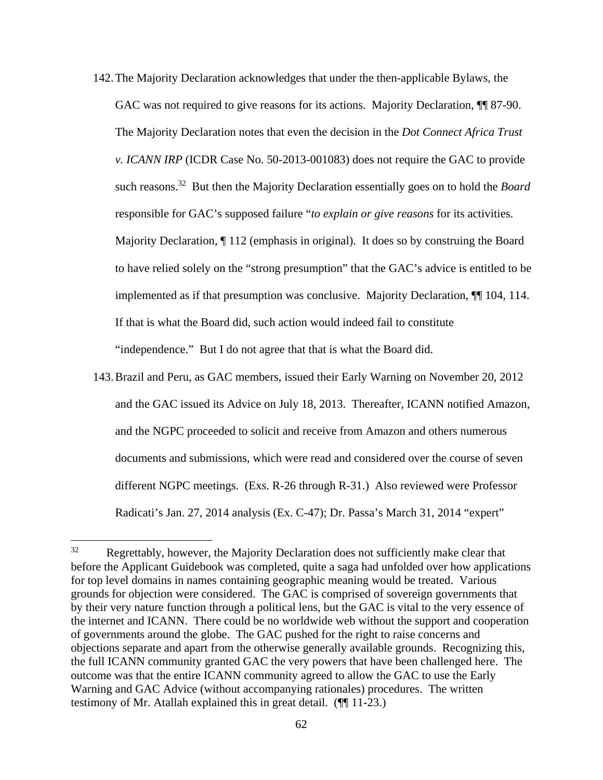- 142.The Majority Declaration acknowledges that under the then-applicable Bylaws, the GAC was not required to give reasons for its actions. Majority Declaration,  $\P$  87-90. The Majority Declaration notes that even the decision in the *Dot Connect Africa Trust v. ICANN IRP* (ICDR Case No. 50-2013-001083) does not require the GAC to provide such reasons.32 But then the Majority Declaration essentially goes on to hold the *Board* responsible for GAC's supposed failure "*to explain or give reasons* for its activities. Majority Declaration, ¶ 112 (emphasis in original). It does so by construing the Board to have relied solely on the "strong presumption" that the GAC's advice is entitled to be implemented as if that presumption was conclusive. Majority Declaration, ¶¶ 104, 114. If that is what the Board did, such action would indeed fail to constitute "independence." But I do not agree that that is what the Board did.
- 143.Brazil and Peru, as GAC members, issued their Early Warning on November 20, 2012 and the GAC issued its Advice on July 18, 2013. Thereafter, ICANN notified Amazon, and the NGPC proceeded to solicit and receive from Amazon and others numerous documents and submissions, which were read and considered over the course of seven different NGPC meetings. (Exs. R-26 through R-31.) Also reviewed were Professor Radicati's Jan. 27, 2014 analysis (Ex. C-47); Dr. Passa's March 31, 2014 "expert"

<sup>&</sup>lt;sup>32</sup> Regrettably, however, the Majority Declaration does not sufficiently make clear that before the Applicant Guidebook was completed, quite a saga had unfolded over how applications for top level domains in names containing geographic meaning would be treated. Various grounds for objection were considered. The GAC is comprised of sovereign governments that by their very nature function through a political lens, but the GAC is vital to the very essence of the internet and ICANN. There could be no worldwide web without the support and cooperation of governments around the globe. The GAC pushed for the right to raise concerns and objections separate and apart from the otherwise generally available grounds. Recognizing this, the full ICANN community granted GAC the very powers that have been challenged here. The outcome was that the entire ICANN community agreed to allow the GAC to use the Early Warning and GAC Advice (without accompanying rationales) procedures. The written testimony of Mr. Atallah explained this in great detail. (¶¶ 11-23.)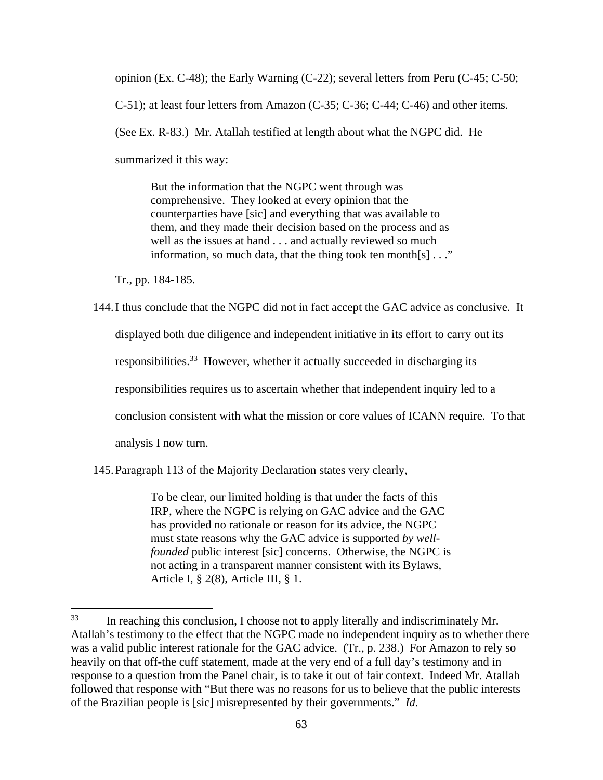opinion (Ex. C-48); the Early Warning (C-22); several letters from Peru (C-45; C-50;

C-51); at least four letters from Amazon (C-35; C-36; C-44; C-46) and other items.

(See Ex. R-83.) Mr. Atallah testified at length about what the NGPC did. He

summarized it this way:

But the information that the NGPC went through was comprehensive. They looked at every opinion that the counterparties have [sic] and everything that was available to them, and they made their decision based on the process and as well as the issues at hand . . . and actually reviewed so much information, so much data, that the thing took ten month[s] . . ."

Tr., pp. 184-185.

144.I thus conclude that the NGPC did not in fact accept the GAC advice as conclusive. It displayed both due diligence and independent initiative in its effort to carry out its responsibilities.<sup>33</sup> However, whether it actually succeeded in discharging its responsibilities requires us to ascertain whether that independent inquiry led to a conclusion consistent with what the mission or core values of ICANN require. To that analysis I now turn.

145.Paragraph 113 of the Majority Declaration states very clearly,

To be clear, our limited holding is that under the facts of this IRP, where the NGPC is relying on GAC advice and the GAC has provided no rationale or reason for its advice, the NGPC must state reasons why the GAC advice is supported *by wellfounded* public interest [sic] concerns. Otherwise, the NGPC is not acting in a transparent manner consistent with its Bylaws, Article I, § 2(8), Article III, § 1.

<sup>&</sup>lt;sup>33</sup> In reaching this conclusion, I choose not to apply literally and indiscriminately Mr. Atallah's testimony to the effect that the NGPC made no independent inquiry as to whether there was a valid public interest rationale for the GAC advice. (Tr., p. 238.) For Amazon to rely so heavily on that off-the cuff statement, made at the very end of a full day's testimony and in response to a question from the Panel chair, is to take it out of fair context. Indeed Mr. Atallah followed that response with "But there was no reasons for us to believe that the public interests of the Brazilian people is [sic] misrepresented by their governments." *Id.*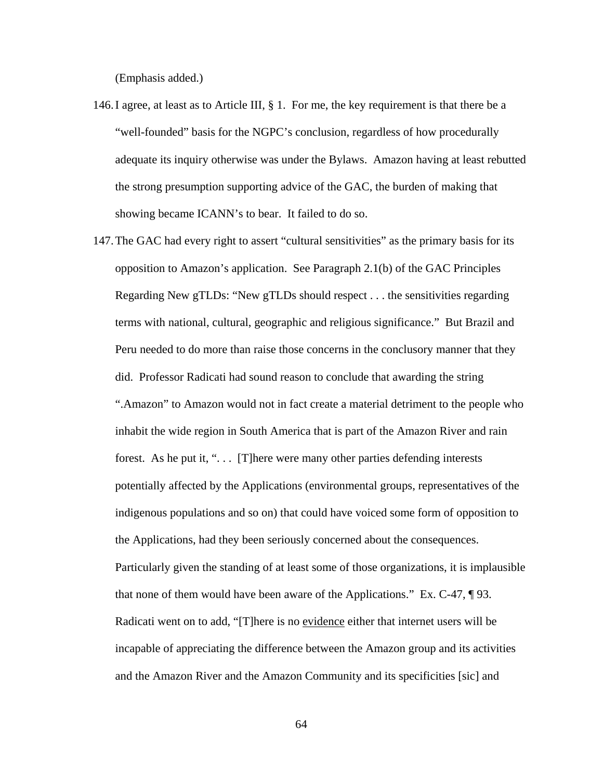(Emphasis added.)

- 146.I agree, at least as to Article III, § 1. For me, the key requirement is that there be a "well-founded" basis for the NGPC's conclusion, regardless of how procedurally adequate its inquiry otherwise was under the Bylaws. Amazon having at least rebutted the strong presumption supporting advice of the GAC, the burden of making that showing became ICANN's to bear. It failed to do so.
- 147.The GAC had every right to assert "cultural sensitivities" as the primary basis for its opposition to Amazon's application. See Paragraph 2.1(b) of the GAC Principles Regarding New gTLDs: "New gTLDs should respect . . . the sensitivities regarding terms with national, cultural, geographic and religious significance." But Brazil and Peru needed to do more than raise those concerns in the conclusory manner that they did. Professor Radicati had sound reason to conclude that awarding the string ".Amazon" to Amazon would not in fact create a material detriment to the people who inhabit the wide region in South America that is part of the Amazon River and rain forest. As he put it, ". . . [T]here were many other parties defending interests potentially affected by the Applications (environmental groups, representatives of the indigenous populations and so on) that could have voiced some form of opposition to the Applications, had they been seriously concerned about the consequences. Particularly given the standing of at least some of those organizations, it is implausible that none of them would have been aware of the Applications." Ex. C-47, ¶ 93. Radicati went on to add, "[T]here is no evidence either that internet users will be incapable of appreciating the difference between the Amazon group and its activities and the Amazon River and the Amazon Community and its specificities [sic] and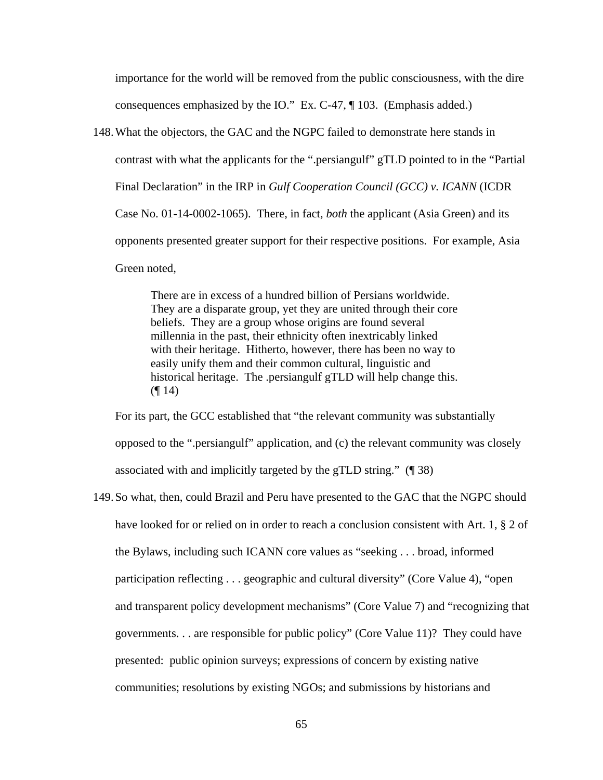importance for the world will be removed from the public consciousness, with the dire consequences emphasized by the IO." Ex. C-47, ¶ 103. (Emphasis added.)

148.What the objectors, the GAC and the NGPC failed to demonstrate here stands in contrast with what the applicants for the ".persiangulf" gTLD pointed to in the "Partial Final Declaration" in the IRP in *Gulf Cooperation Council (GCC) v. ICANN* (ICDR Case No. 01-14-0002-1065). There, in fact, *both* the applicant (Asia Green) and its opponents presented greater support for their respective positions. For example, Asia Green noted,

> There are in excess of a hundred billion of Persians worldwide. They are a disparate group, yet they are united through their core beliefs. They are a group whose origins are found several millennia in the past, their ethnicity often inextricably linked with their heritage. Hitherto, however, there has been no way to easily unify them and their common cultural, linguistic and historical heritage. The .persiangulf gTLD will help change this.  $($ | 14)

For its part, the GCC established that "the relevant community was substantially opposed to the ".persiangulf" application, and (c) the relevant community was closely associated with and implicitly targeted by the gTLD string." (¶ 38)

149.So what, then, could Brazil and Peru have presented to the GAC that the NGPC should have looked for or relied on in order to reach a conclusion consistent with Art. 1, § 2 of the Bylaws, including such ICANN core values as "seeking . . . broad, informed participation reflecting . . . geographic and cultural diversity" (Core Value 4), "open and transparent policy development mechanisms" (Core Value 7) and "recognizing that governments. . . are responsible for public policy" (Core Value 11)? They could have presented: public opinion surveys; expressions of concern by existing native communities; resolutions by existing NGOs; and submissions by historians and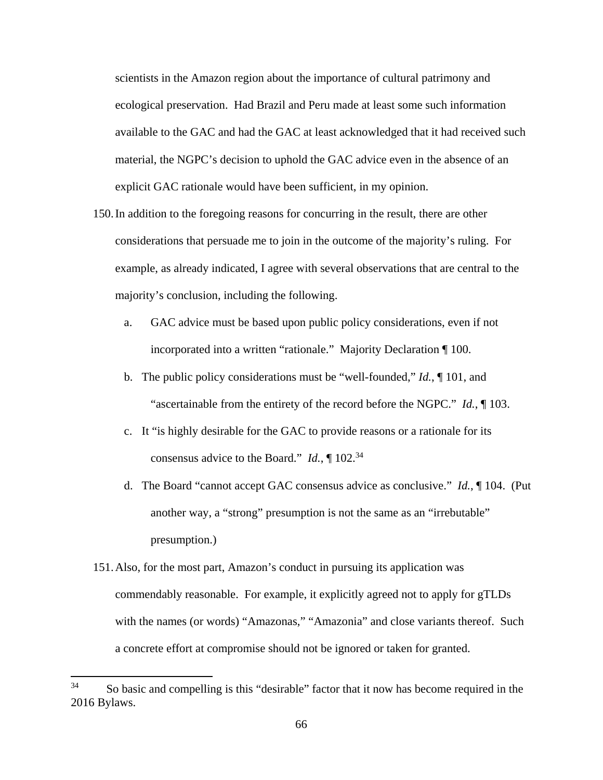scientists in the Amazon region about the importance of cultural patrimony and ecological preservation. Had Brazil and Peru made at least some such information available to the GAC and had the GAC at least acknowledged that it had received such material, the NGPC's decision to uphold the GAC advice even in the absence of an explicit GAC rationale would have been sufficient, in my opinion.

- 150.In addition to the foregoing reasons for concurring in the result, there are other considerations that persuade me to join in the outcome of the majority's ruling. For example, as already indicated, I agree with several observations that are central to the majority's conclusion, including the following.
	- a. GAC advice must be based upon public policy considerations, even if not incorporated into a written "rationale." Majority Declaration ¶ 100.
	- b. The public policy considerations must be "well-founded," *Id.*, ¶ 101, and "ascertainable from the entirety of the record before the NGPC." *Id.*, ¶ 103.
	- c. It "is highly desirable for the GAC to provide reasons or a rationale for its consensus advice to the Board." *Id.*, ¶ 102.<sup>34</sup>
	- d. The Board "cannot accept GAC consensus advice as conclusive." *Id.*, ¶ 104. (Put another way, a "strong" presumption is not the same as an "irrebutable" presumption.)
- 151.Also, for the most part, Amazon's conduct in pursuing its application was commendably reasonable. For example, it explicitly agreed not to apply for gTLDs with the names (or words) "Amazonas," "Amazonia" and close variants thereof. Such a concrete effort at compromise should not be ignored or taken for granted.

<sup>&</sup>lt;sup>34</sup> So basic and compelling is this "desirable" factor that it now has become required in the 2016 Bylaws.